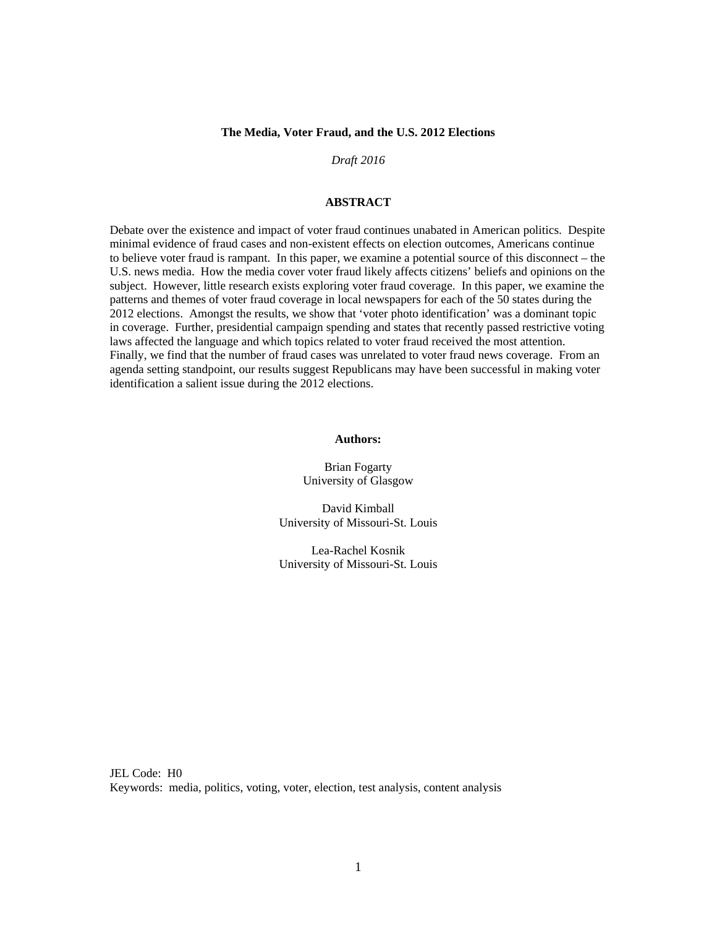## **The Media, Voter Fraud, and the U.S. 2012 Elections**

### *Draft 2016*

# **ABSTRACT**

Debate over the existence and impact of voter fraud continues unabated in American politics. Despite minimal evidence of fraud cases and non-existent effects on election outcomes, Americans continue to believe voter fraud is rampant. In this paper, we examine a potential source of this disconnect – the U.S. news media. How the media cover voter fraud likely affects citizens' beliefs and opinions on the subject. However, little research exists exploring voter fraud coverage. In this paper, we examine the patterns and themes of voter fraud coverage in local newspapers for each of the 50 states during the 2012 elections. Amongst the results, we show that 'voter photo identification' was a dominant topic in coverage. Further, presidential campaign spending and states that recently passed restrictive voting laws affected the language and which topics related to voter fraud received the most attention. Finally, we find that the number of fraud cases was unrelated to voter fraud news coverage. From an agenda setting standpoint, our results suggest Republicans may have been successful in making voter identification a salient issue during the 2012 elections.

## **Authors:**

Brian Fogarty University of Glasgow

David Kimball University of Missouri-St. Louis

Lea-Rachel Kosnik University of Missouri-St. Louis

JEL Code: H0 Keywords: media, politics, voting, voter, election, test analysis, content analysis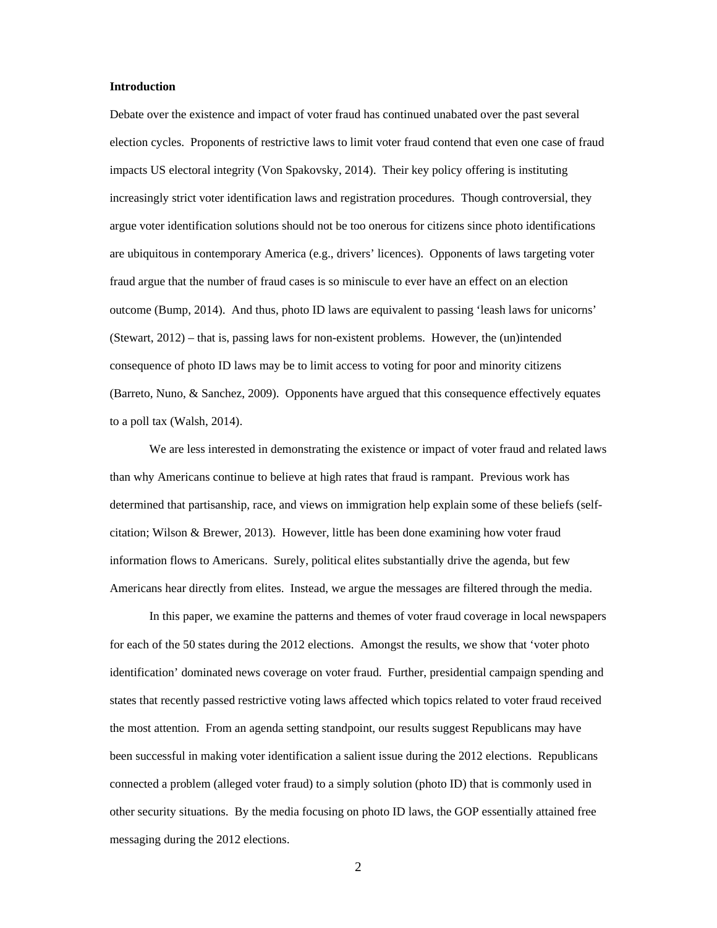# **Introduction**

Debate over the existence and impact of voter fraud has continued unabated over the past several election cycles. Proponents of restrictive laws to limit voter fraud contend that even one case of fraud impacts US electoral integrity (Von Spakovsky, 2014). Their key policy offering is instituting increasingly strict voter identification laws and registration procedures. Though controversial, they argue voter identification solutions should not be too onerous for citizens since photo identifications are ubiquitous in contemporary America (e.g., drivers' licences). Opponents of laws targeting voter fraud argue that the number of fraud cases is so miniscule to ever have an effect on an election outcome (Bump, 2014). And thus, photo ID laws are equivalent to passing 'leash laws for unicorns' (Stewart, 2012) – that is, passing laws for non-existent problems. However, the (un)intended consequence of photo ID laws may be to limit access to voting for poor and minority citizens (Barreto, Nuno, & Sanchez, 2009). Opponents have argued that this consequence effectively equates to a poll tax (Walsh, 2014).

 We are less interested in demonstrating the existence or impact of voter fraud and related laws than why Americans continue to believe at high rates that fraud is rampant. Previous work has determined that partisanship, race, and views on immigration help explain some of these beliefs (selfcitation; Wilson & Brewer, 2013). However, little has been done examining how voter fraud information flows to Americans. Surely, political elites substantially drive the agenda, but few Americans hear directly from elites. Instead, we argue the messages are filtered through the media.

 In this paper, we examine the patterns and themes of voter fraud coverage in local newspapers for each of the 50 states during the 2012 elections. Amongst the results, we show that 'voter photo identification' dominated news coverage on voter fraud. Further, presidential campaign spending and states that recently passed restrictive voting laws affected which topics related to voter fraud received the most attention. From an agenda setting standpoint, our results suggest Republicans may have been successful in making voter identification a salient issue during the 2012 elections. Republicans connected a problem (alleged voter fraud) to a simply solution (photo ID) that is commonly used in other security situations. By the media focusing on photo ID laws, the GOP essentially attained free messaging during the 2012 elections.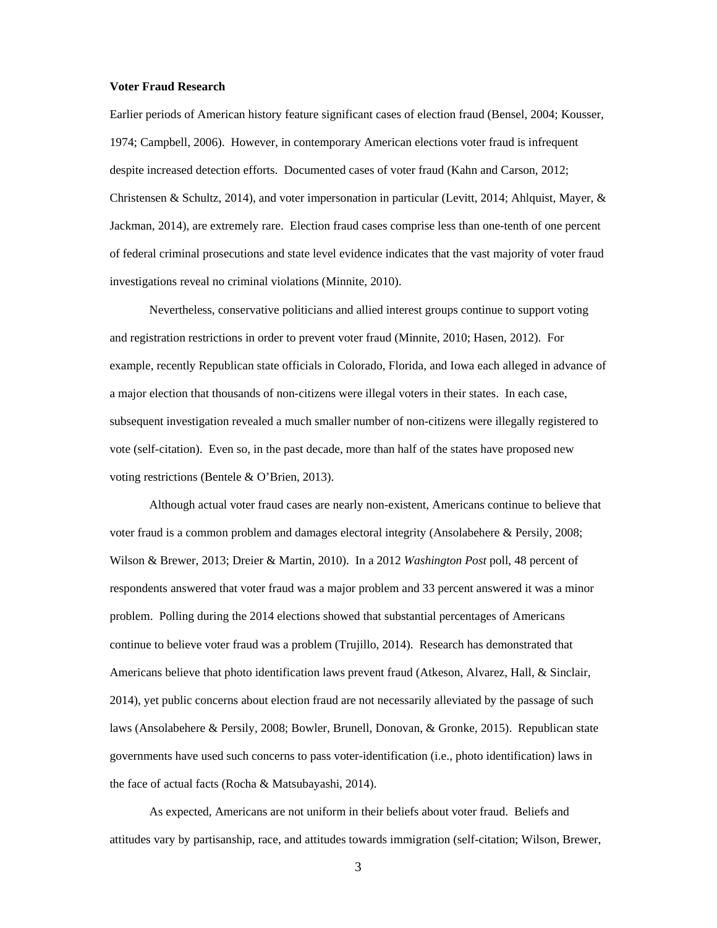#### **Voter Fraud Research**

Earlier periods of American history feature significant cases of election fraud (Bensel, 2004; Kousser, 1974; Campbell, 2006). However, in contemporary American elections voter fraud is infrequent despite increased detection efforts. Documented cases of voter fraud (Kahn and Carson, 2012; Christensen & Schultz, 2014), and voter impersonation in particular (Levitt, 2014; Ahlquist, Mayer, & Jackman, 2014), are extremely rare. Election fraud cases comprise less than one-tenth of one percent of federal criminal prosecutions and state level evidence indicates that the vast majority of voter fraud investigations reveal no criminal violations (Minnite, 2010).

 Nevertheless, conservative politicians and allied interest groups continue to support voting and registration restrictions in order to prevent voter fraud (Minnite, 2010; Hasen, 2012). For example, recently Republican state officials in Colorado, Florida, and Iowa each alleged in advance of a major election that thousands of non-citizens were illegal voters in their states. In each case, subsequent investigation revealed a much smaller number of non-citizens were illegally registered to vote (self-citation). Even so, in the past decade, more than half of the states have proposed new voting restrictions (Bentele & O'Brien, 2013).

 Although actual voter fraud cases are nearly non-existent, Americans continue to believe that voter fraud is a common problem and damages electoral integrity (Ansolabehere & Persily, 2008; Wilson & Brewer, 2013; Dreier & Martin, 2010). In a 2012 *Washington Post* poll, 48 percent of respondents answered that voter fraud was a major problem and 33 percent answered it was a minor problem. Polling during the 2014 elections showed that substantial percentages of Americans continue to believe voter fraud was a problem (Trujillo, 2014). Research has demonstrated that Americans believe that photo identification laws prevent fraud (Atkeson, Alvarez, Hall, & Sinclair, 2014), yet public concerns about election fraud are not necessarily alleviated by the passage of such laws (Ansolabehere & Persily, 2008; Bowler, Brunell, Donovan, & Gronke, 2015). Republican state governments have used such concerns to pass voter-identification (i.e., photo identification) laws in the face of actual facts (Rocha & Matsubayashi, 2014).

 As expected, Americans are not uniform in their beliefs about voter fraud. Beliefs and attitudes vary by partisanship, race, and attitudes towards immigration (self-citation; Wilson, Brewer,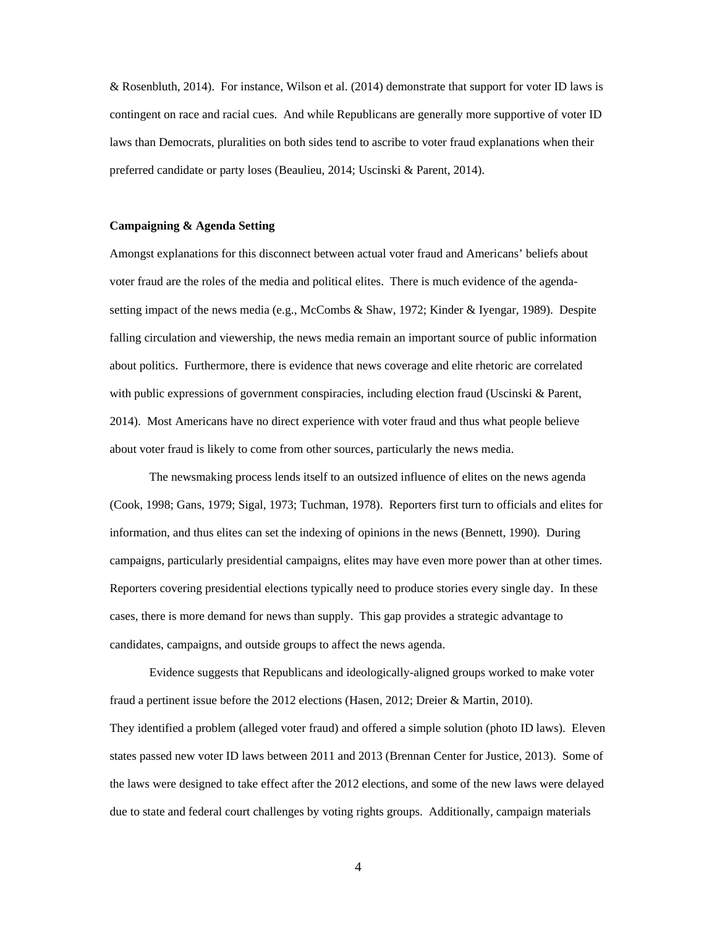& Rosenbluth, 2014). For instance, Wilson et al. (2014) demonstrate that support for voter ID laws is contingent on race and racial cues. And while Republicans are generally more supportive of voter ID laws than Democrats, pluralities on both sides tend to ascribe to voter fraud explanations when their preferred candidate or party loses (Beaulieu, 2014; Uscinski & Parent, 2014).

# **Campaigning & Agenda Setting**

Amongst explanations for this disconnect between actual voter fraud and Americans' beliefs about voter fraud are the roles of the media and political elites. There is much evidence of the agendasetting impact of the news media (e.g., McCombs & Shaw, 1972; Kinder & Iyengar, 1989). Despite falling circulation and viewership, the news media remain an important source of public information about politics. Furthermore, there is evidence that news coverage and elite rhetoric are correlated with public expressions of government conspiracies, including election fraud (Uscinski & Parent, 2014). Most Americans have no direct experience with voter fraud and thus what people believe about voter fraud is likely to come from other sources, particularly the news media.

 The newsmaking process lends itself to an outsized influence of elites on the news agenda (Cook, 1998; Gans, 1979; Sigal, 1973; Tuchman, 1978). Reporters first turn to officials and elites for information, and thus elites can set the indexing of opinions in the news (Bennett, 1990). During campaigns, particularly presidential campaigns, elites may have even more power than at other times. Reporters covering presidential elections typically need to produce stories every single day. In these cases, there is more demand for news than supply. This gap provides a strategic advantage to candidates, campaigns, and outside groups to affect the news agenda.

 Evidence suggests that Republicans and ideologically-aligned groups worked to make voter fraud a pertinent issue before the 2012 elections (Hasen, 2012; Dreier & Martin, 2010). They identified a problem (alleged voter fraud) and offered a simple solution (photo ID laws). Eleven states passed new voter ID laws between 2011 and 2013 (Brennan Center for Justice, 2013). Some of the laws were designed to take effect after the 2012 elections, and some of the new laws were delayed due to state and federal court challenges by voting rights groups. Additionally, campaign materials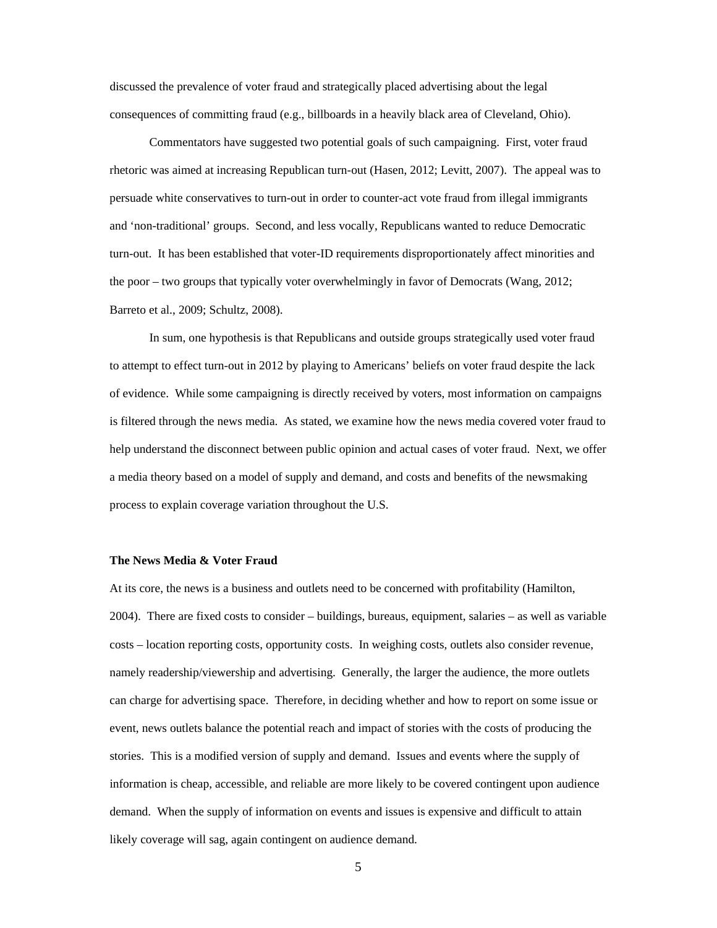discussed the prevalence of voter fraud and strategically placed advertising about the legal consequences of committing fraud (e.g., billboards in a heavily black area of Cleveland, Ohio).

Commentators have suggested two potential goals of such campaigning. First, voter fraud rhetoric was aimed at increasing Republican turn-out (Hasen, 2012; Levitt, 2007). The appeal was to persuade white conservatives to turn-out in order to counter-act vote fraud from illegal immigrants and 'non-traditional' groups. Second, and less vocally, Republicans wanted to reduce Democratic turn-out. It has been established that voter-ID requirements disproportionately affect minorities and the poor – two groups that typically voter overwhelmingly in favor of Democrats (Wang, 2012; Barreto et al., 2009; Schultz, 2008).

 In sum, one hypothesis is that Republicans and outside groups strategically used voter fraud to attempt to effect turn-out in 2012 by playing to Americans' beliefs on voter fraud despite the lack of evidence. While some campaigning is directly received by voters, most information on campaigns is filtered through the news media. As stated, we examine how the news media covered voter fraud to help understand the disconnect between public opinion and actual cases of voter fraud. Next, we offer a media theory based on a model of supply and demand, and costs and benefits of the newsmaking process to explain coverage variation throughout the U.S.

# **The News Media & Voter Fraud**

At its core, the news is a business and outlets need to be concerned with profitability (Hamilton, 2004). There are fixed costs to consider – buildings, bureaus, equipment, salaries – as well as variable costs – location reporting costs, opportunity costs. In weighing costs, outlets also consider revenue, namely readership/viewership and advertising. Generally, the larger the audience, the more outlets can charge for advertising space. Therefore, in deciding whether and how to report on some issue or event, news outlets balance the potential reach and impact of stories with the costs of producing the stories. This is a modified version of supply and demand. Issues and events where the supply of information is cheap, accessible, and reliable are more likely to be covered contingent upon audience demand. When the supply of information on events and issues is expensive and difficult to attain likely coverage will sag, again contingent on audience demand.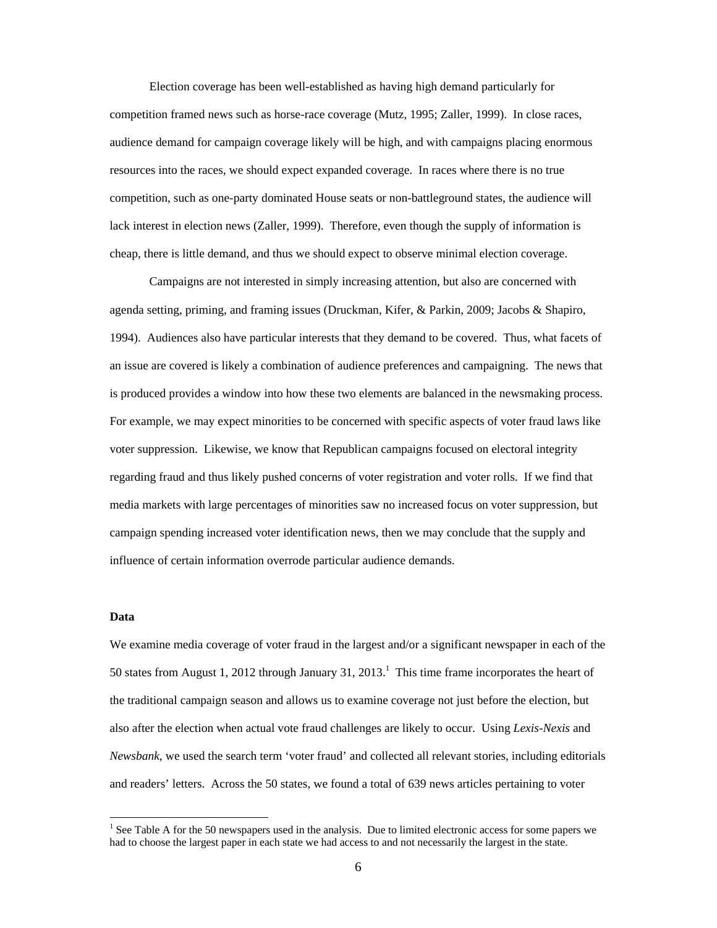Election coverage has been well-established as having high demand particularly for competition framed news such as horse-race coverage (Mutz, 1995; Zaller, 1999). In close races, audience demand for campaign coverage likely will be high, and with campaigns placing enormous resources into the races, we should expect expanded coverage. In races where there is no true competition, such as one-party dominated House seats or non-battleground states, the audience will lack interest in election news (Zaller, 1999). Therefore, even though the supply of information is cheap, there is little demand, and thus we should expect to observe minimal election coverage.

Campaigns are not interested in simply increasing attention, but also are concerned with agenda setting, priming, and framing issues (Druckman, Kifer, & Parkin, 2009; Jacobs & Shapiro, 1994). Audiences also have particular interests that they demand to be covered. Thus, what facets of an issue are covered is likely a combination of audience preferences and campaigning. The news that is produced provides a window into how these two elements are balanced in the newsmaking process. For example, we may expect minorities to be concerned with specific aspects of voter fraud laws like voter suppression. Likewise, we know that Republican campaigns focused on electoral integrity regarding fraud and thus likely pushed concerns of voter registration and voter rolls. If we find that media markets with large percentages of minorities saw no increased focus on voter suppression, but campaign spending increased voter identification news, then we may conclude that the supply and influence of certain information overrode particular audience demands.

# **Data**

We examine media coverage of voter fraud in the largest and/or a significant newspaper in each of the 50 states from August 1, 2012 through January 31, 2013.<sup>1</sup> This time frame incorporates the heart of the traditional campaign season and allows us to examine coverage not just before the election, but also after the election when actual vote fraud challenges are likely to occur. Using *Lexis-Nexis* and *Newsbank*, we used the search term 'voter fraud' and collected all relevant stories, including editorials and readers' letters. Across the 50 states, we found a total of 639 news articles pertaining to voter

<sup>&</sup>lt;sup>1</sup> See Table A for the 50 newspapers used in the analysis. Due to limited electronic access for some papers we had to choose the largest paper in each state we had access to and not necessarily the largest in the state.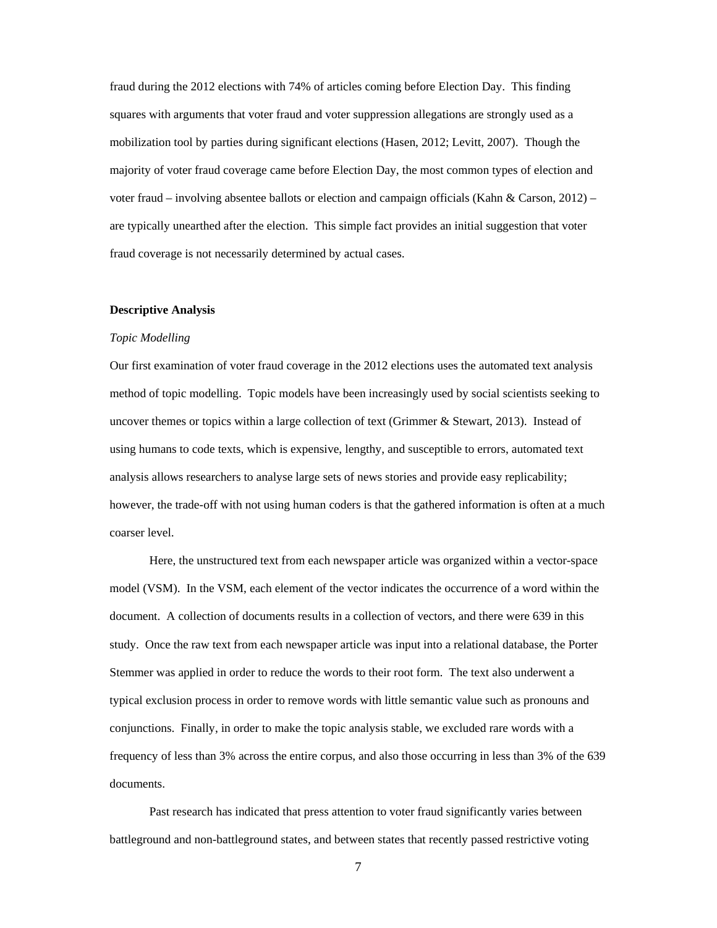fraud during the 2012 elections with 74% of articles coming before Election Day. This finding squares with arguments that voter fraud and voter suppression allegations are strongly used as a mobilization tool by parties during significant elections (Hasen, 2012; Levitt, 2007). Though the majority of voter fraud coverage came before Election Day, the most common types of election and voter fraud – involving absentee ballots or election and campaign officials (Kahn & Carson, 2012) – are typically unearthed after the election. This simple fact provides an initial suggestion that voter fraud coverage is not necessarily determined by actual cases.

### **Descriptive Analysis**

#### *Topic Modelling*

Our first examination of voter fraud coverage in the 2012 elections uses the automated text analysis method of topic modelling. Topic models have been increasingly used by social scientists seeking to uncover themes or topics within a large collection of text (Grimmer & Stewart, 2013). Instead of using humans to code texts, which is expensive, lengthy, and susceptible to errors, automated text analysis allows researchers to analyse large sets of news stories and provide easy replicability; however, the trade-off with not using human coders is that the gathered information is often at a much coarser level.

Here, the unstructured text from each newspaper article was organized within a vector-space model (VSM). In the VSM, each element of the vector indicates the occurrence of a word within the document. A collection of documents results in a collection of vectors, and there were 639 in this study. Once the raw text from each newspaper article was input into a relational database, the Porter Stemmer was applied in order to reduce the words to their root form. The text also underwent a typical exclusion process in order to remove words with little semantic value such as pronouns and conjunctions. Finally, in order to make the topic analysis stable, we excluded rare words with a frequency of less than 3% across the entire corpus, and also those occurring in less than 3% of the 639 documents.

Past research has indicated that press attention to voter fraud significantly varies between battleground and non-battleground states, and between states that recently passed restrictive voting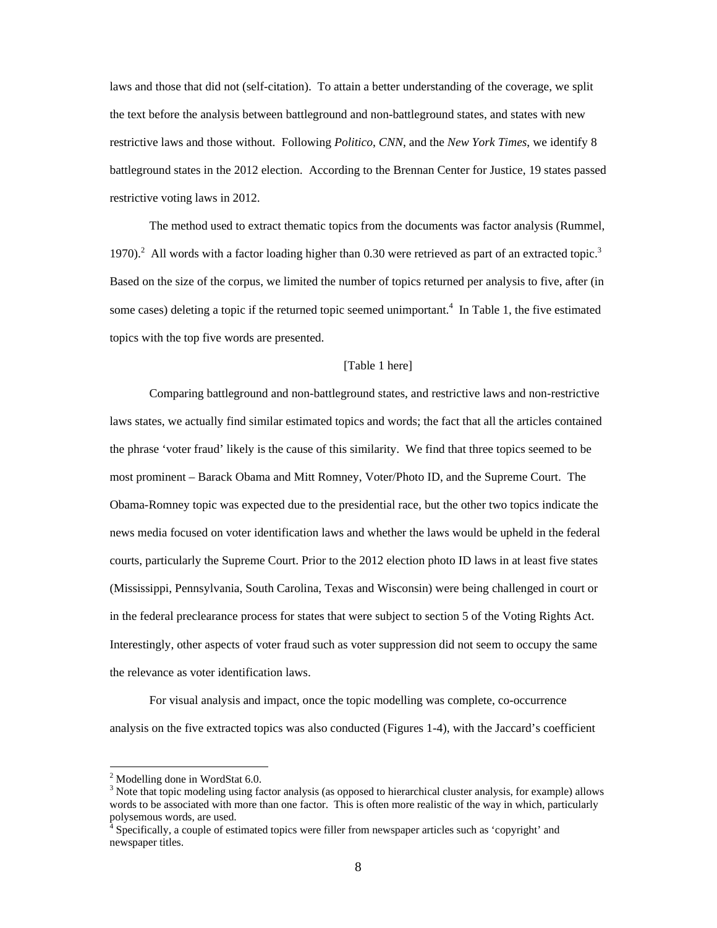laws and those that did not (self-citation). To attain a better understanding of the coverage, we split the text before the analysis between battleground and non-battleground states, and states with new restrictive laws and those without. Following *Politico*, *CNN*, and the *New York Times*, we identify 8 battleground states in the 2012 election. According to the Brennan Center for Justice, 19 states passed restrictive voting laws in 2012.

The method used to extract thematic topics from the documents was factor analysis (Rummel, 1970).<sup>2</sup> All words with a factor loading higher than 0.30 were retrieved as part of an extracted topic.<sup>3</sup> Based on the size of the corpus, we limited the number of topics returned per analysis to five, after (in some cases) deleting a topic if the returned topic seemed unimportant.<sup>4</sup> In Table 1, the five estimated topics with the top five words are presented.

# [Table 1 here]

Comparing battleground and non-battleground states, and restrictive laws and non-restrictive laws states, we actually find similar estimated topics and words; the fact that all the articles contained the phrase 'voter fraud' likely is the cause of this similarity. We find that three topics seemed to be most prominent – Barack Obama and Mitt Romney, Voter/Photo ID, and the Supreme Court. The Obama-Romney topic was expected due to the presidential race, but the other two topics indicate the news media focused on voter identification laws and whether the laws would be upheld in the federal courts, particularly the Supreme Court. Prior to the 2012 election photo ID laws in at least five states (Mississippi, Pennsylvania, South Carolina, Texas and Wisconsin) were being challenged in court or in the federal preclearance process for states that were subject to section 5 of the Voting Rights Act. Interestingly, other aspects of voter fraud such as voter suppression did not seem to occupy the same the relevance as voter identification laws.

For visual analysis and impact, once the topic modelling was complete, co-occurrence analysis on the five extracted topics was also conducted (Figures 1-4), with the Jaccard's coefficient

 <sup>2</sup> Modelling done in WordStat 6.0.

<sup>&</sup>lt;sup>3</sup> Note that topic modeling using factor analysis (as opposed to hierarchical cluster analysis, for example) allows words to be associated with more than one factor. This is often more realistic of the way in which, particularly polysemous words, are used.

Specifically, a couple of estimated topics were filler from newspaper articles such as 'copyright' and newspaper titles.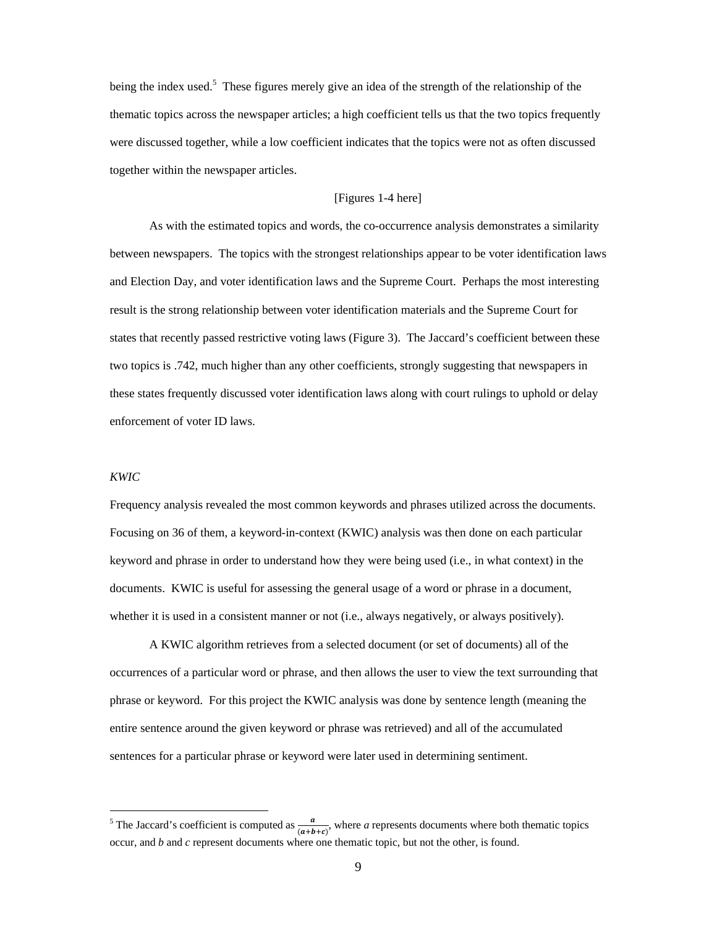being the index used.<sup>5</sup> These figures merely give an idea of the strength of the relationship of the thematic topics across the newspaper articles; a high coefficient tells us that the two topics frequently were discussed together, while a low coefficient indicates that the topics were not as often discussed together within the newspaper articles.

# [Figures 1-4 here]

As with the estimated topics and words, the co-occurrence analysis demonstrates a similarity between newspapers. The topics with the strongest relationships appear to be voter identification laws and Election Day, and voter identification laws and the Supreme Court. Perhaps the most interesting result is the strong relationship between voter identification materials and the Supreme Court for states that recently passed restrictive voting laws (Figure 3). The Jaccard's coefficient between these two topics is .742, much higher than any other coefficients, strongly suggesting that newspapers in these states frequently discussed voter identification laws along with court rulings to uphold or delay enforcement of voter ID laws.

#### *KWIC*

Frequency analysis revealed the most common keywords and phrases utilized across the documents. Focusing on 36 of them, a keyword-in-context (KWIC) analysis was then done on each particular keyword and phrase in order to understand how they were being used (i.e., in what context) in the documents. KWIC is useful for assessing the general usage of a word or phrase in a document, whether it is used in a consistent manner or not (i.e., always negatively, or always positively).

A KWIC algorithm retrieves from a selected document (or set of documents) all of the occurrences of a particular word or phrase, and then allows the user to view the text surrounding that phrase or keyword. For this project the KWIC analysis was done by sentence length (meaning the entire sentence around the given keyword or phrase was retrieved) and all of the accumulated sentences for a particular phrase or keyword were later used in determining sentiment.

<sup>&</sup>lt;sup>5</sup> The Jaccard's coefficient is computed as  $\frac{a}{(a+b+c)}$ , where *a* represents documents where both thematic topics occur, and *b* and *c* represent documents where one thematic topic, but not the other, is found.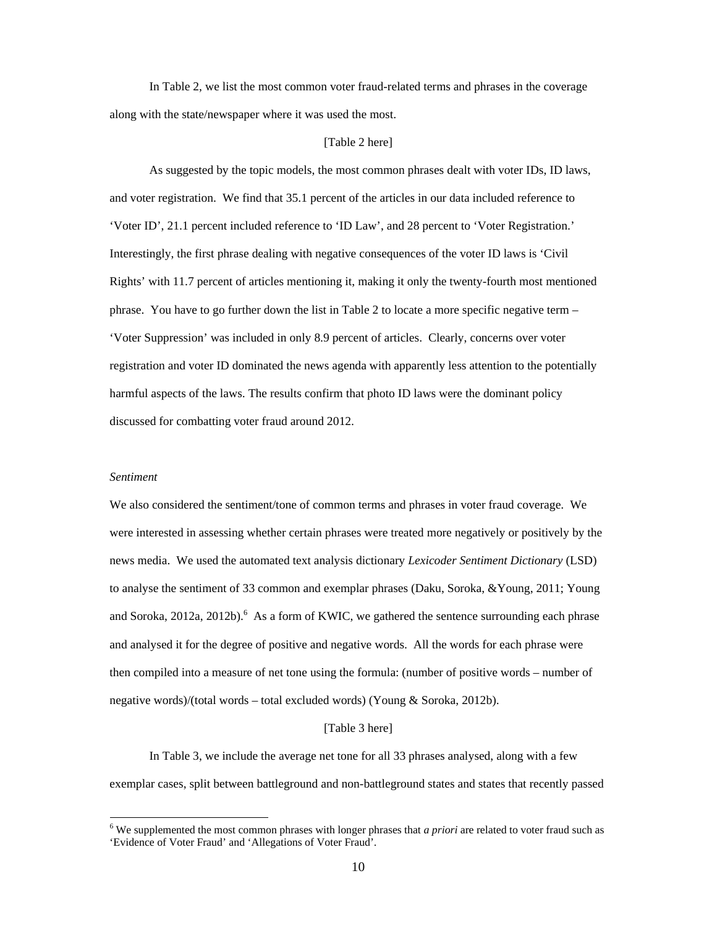In Table 2, we list the most common voter fraud-related terms and phrases in the coverage along with the state/newspaper where it was used the most.

### [Table 2 here]

 As suggested by the topic models, the most common phrases dealt with voter IDs, ID laws, and voter registration. We find that 35.1 percent of the articles in our data included reference to 'Voter ID', 21.1 percent included reference to 'ID Law', and 28 percent to 'Voter Registration.' Interestingly, the first phrase dealing with negative consequences of the voter ID laws is 'Civil Rights' with 11.7 percent of articles mentioning it, making it only the twenty-fourth most mentioned phrase. You have to go further down the list in Table 2 to locate a more specific negative term – 'Voter Suppression' was included in only 8.9 percent of articles. Clearly, concerns over voter registration and voter ID dominated the news agenda with apparently less attention to the potentially harmful aspects of the laws. The results confirm that photo ID laws were the dominant policy discussed for combatting voter fraud around 2012.

### *Sentiment*

We also considered the sentiment/tone of common terms and phrases in voter fraud coverage. We were interested in assessing whether certain phrases were treated more negatively or positively by the news media. We used the automated text analysis dictionary *Lexicoder Sentiment Dictionary* (LSD) to analyse the sentiment of 33 common and exemplar phrases (Daku, Soroka, &Young, 2011; Young and Soroka, 2012a, 2012b).  $6$  As a form of KWIC, we gathered the sentence surrounding each phrase and analysed it for the degree of positive and negative words. All the words for each phrase were then compiled into a measure of net tone using the formula: (number of positive words – number of negative words)/(total words – total excluded words) (Young & Soroka, 2012b).

# [Table 3 here]

 In Table 3, we include the average net tone for all 33 phrases analysed, along with a few exemplar cases, split between battleground and non-battleground states and states that recently passed

<sup>&</sup>lt;sup>6</sup> We supplemented the most common phrases with longer phrases that *a priori* are related to voter fraud such as 'Evidence of Voter Fraud' and 'Allegations of Voter Fraud'.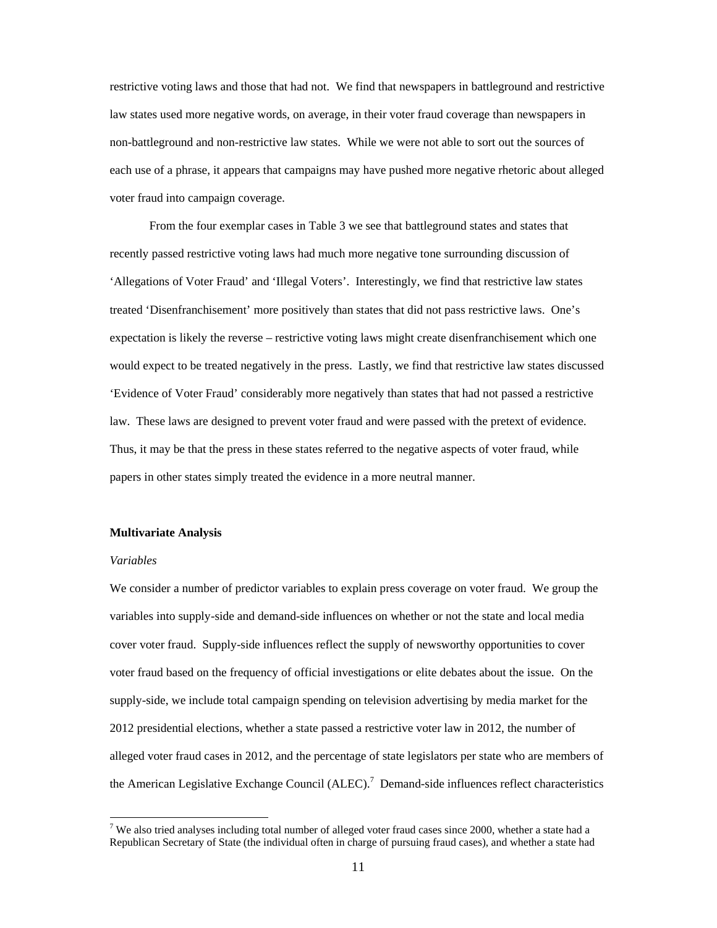restrictive voting laws and those that had not. We find that newspapers in battleground and restrictive law states used more negative words, on average, in their voter fraud coverage than newspapers in non-battleground and non-restrictive law states. While we were not able to sort out the sources of each use of a phrase, it appears that campaigns may have pushed more negative rhetoric about alleged voter fraud into campaign coverage.

 From the four exemplar cases in Table 3 we see that battleground states and states that recently passed restrictive voting laws had much more negative tone surrounding discussion of 'Allegations of Voter Fraud' and 'Illegal Voters'. Interestingly, we find that restrictive law states treated 'Disenfranchisement' more positively than states that did not pass restrictive laws. One's expectation is likely the reverse – restrictive voting laws might create disenfranchisement which one would expect to be treated negatively in the press. Lastly, we find that restrictive law states discussed 'Evidence of Voter Fraud' considerably more negatively than states that had not passed a restrictive law. These laws are designed to prevent voter fraud and were passed with the pretext of evidence. Thus, it may be that the press in these states referred to the negative aspects of voter fraud, while papers in other states simply treated the evidence in a more neutral manner.

### **Multivariate Analysis**

### *Variables*

We consider a number of predictor variables to explain press coverage on voter fraud. We group the variables into supply-side and demand-side influences on whether or not the state and local media cover voter fraud. Supply-side influences reflect the supply of newsworthy opportunities to cover voter fraud based on the frequency of official investigations or elite debates about the issue. On the supply-side, we include total campaign spending on television advertising by media market for the 2012 presidential elections, whether a state passed a restrictive voter law in 2012, the number of alleged voter fraud cases in 2012, and the percentage of state legislators per state who are members of the American Legislative Exchange Council  $(ALEC)$ .<sup>7</sup> Demand-side influences reflect characteristics

<sup>&</sup>lt;sup>7</sup> We also tried analyses including total number of alleged voter fraud cases since 2000, whether a state had a Republican Secretary of State (the individual often in charge of pursuing fraud cases), and whether a state had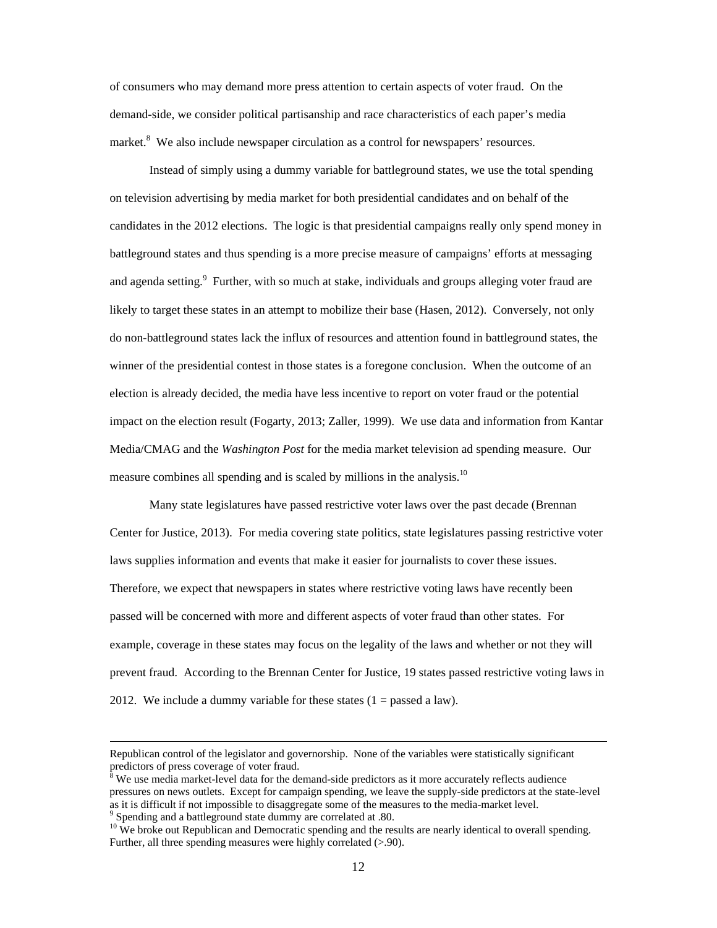of consumers who may demand more press attention to certain aspects of voter fraud. On the demand-side, we consider political partisanship and race characteristics of each paper's media market.<sup>8</sup> We also include newspaper circulation as a control for newspapers' resources.

 Instead of simply using a dummy variable for battleground states, we use the total spending on television advertising by media market for both presidential candidates and on behalf of the candidates in the 2012 elections. The logic is that presidential campaigns really only spend money in battleground states and thus spending is a more precise measure of campaigns' efforts at messaging and agenda setting.<sup>9</sup> Further, with so much at stake, individuals and groups alleging voter fraud are likely to target these states in an attempt to mobilize their base (Hasen, 2012). Conversely, not only do non-battleground states lack the influx of resources and attention found in battleground states, the winner of the presidential contest in those states is a foregone conclusion. When the outcome of an election is already decided, the media have less incentive to report on voter fraud or the potential impact on the election result (Fogarty, 2013; Zaller, 1999). We use data and information from Kantar Media/CMAG and the *Washington Post* for the media market television ad spending measure. Our measure combines all spending and is scaled by millions in the analysis.<sup>10</sup>

Many state legislatures have passed restrictive voter laws over the past decade (Brennan Center for Justice, 2013). For media covering state politics, state legislatures passing restrictive voter laws supplies information and events that make it easier for journalists to cover these issues. Therefore, we expect that newspapers in states where restrictive voting laws have recently been passed will be concerned with more and different aspects of voter fraud than other states. For example, coverage in these states may focus on the legality of the laws and whether or not they will prevent fraud. According to the Brennan Center for Justice, 19 states passed restrictive voting laws in 2012. We include a dummy variable for these states  $(1 =$  passed a law).

<u> La Carlo de la Carlo de la Carlo de la Carlo de la Carlo de la Carlo de la Carlo de la Carlo de la Carlo de l</u>

Republican control of the legislator and governorship. None of the variables were statistically significant predictors of press coverage of voter fraud.

 $8$  We use media market-level data for the demand-side predictors as it more accurately reflects audience pressures on news outlets. Except for campaign spending, we leave the supply-side predictors at the state-level as it is difficult if not impossible to disaggregate some of the measures to the media-market level. 9 Spending and a battleground state dummy are correlated at .80.

 $10\text{ }\text{We}$  broke out Republican and Democratic spending and the results are nearly identical to overall spending. Further, all three spending measures were highly correlated (>.90).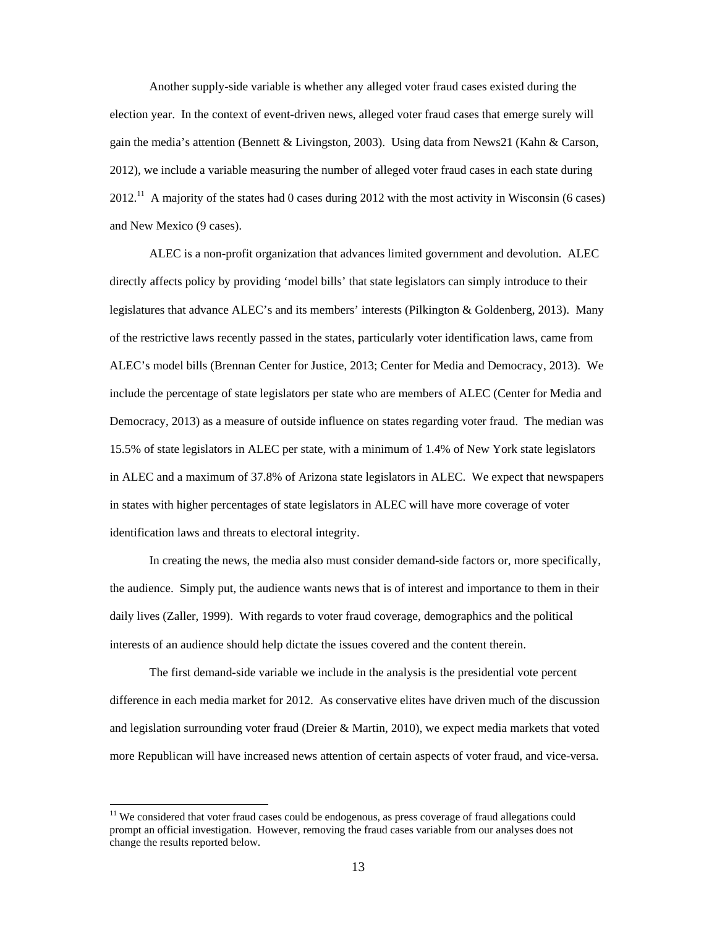Another supply-side variable is whether any alleged voter fraud cases existed during the election year. In the context of event-driven news, alleged voter fraud cases that emerge surely will gain the media's attention (Bennett & Livingston, 2003). Using data from News21 (Kahn & Carson, 2012), we include a variable measuring the number of alleged voter fraud cases in each state during  $2012<sup>11</sup>$  A majority of the states had 0 cases during 2012 with the most activity in Wisconsin (6 cases) and New Mexico (9 cases).

ALEC is a non-profit organization that advances limited government and devolution. ALEC directly affects policy by providing 'model bills' that state legislators can simply introduce to their legislatures that advance ALEC's and its members' interests (Pilkington & Goldenberg, 2013). Many of the restrictive laws recently passed in the states, particularly voter identification laws, came from ALEC's model bills (Brennan Center for Justice, 2013; Center for Media and Democracy, 2013). We include the percentage of state legislators per state who are members of ALEC (Center for Media and Democracy, 2013) as a measure of outside influence on states regarding voter fraud. The median was 15.5% of state legislators in ALEC per state, with a minimum of 1.4% of New York state legislators in ALEC and a maximum of 37.8% of Arizona state legislators in ALEC. We expect that newspapers in states with higher percentages of state legislators in ALEC will have more coverage of voter identification laws and threats to electoral integrity.

In creating the news, the media also must consider demand-side factors or, more specifically, the audience. Simply put, the audience wants news that is of interest and importance to them in their daily lives (Zaller, 1999). With regards to voter fraud coverage, demographics and the political interests of an audience should help dictate the issues covered and the content therein.

The first demand-side variable we include in the analysis is the presidential vote percent difference in each media market for 2012. As conservative elites have driven much of the discussion and legislation surrounding voter fraud (Dreier & Martin, 2010), we expect media markets that voted more Republican will have increased news attention of certain aspects of voter fraud, and vice-versa.

 $11$  We considered that voter fraud cases could be endogenous, as press coverage of fraud allegations could prompt an official investigation. However, removing the fraud cases variable from our analyses does not change the results reported below.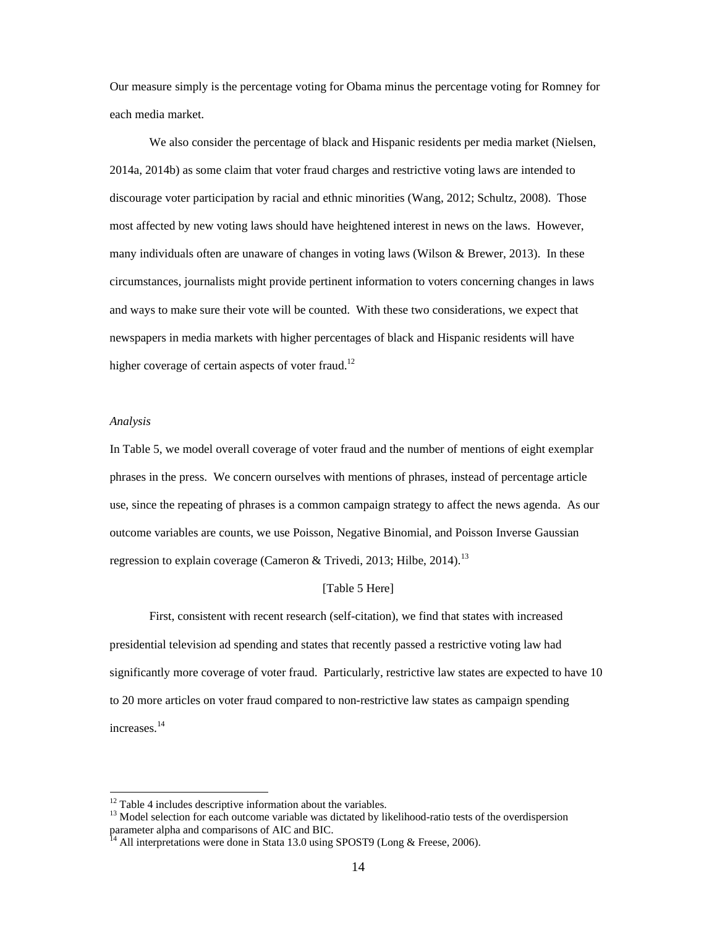Our measure simply is the percentage voting for Obama minus the percentage voting for Romney for each media market.

We also consider the percentage of black and Hispanic residents per media market (Nielsen, 2014a, 2014b) as some claim that voter fraud charges and restrictive voting laws are intended to discourage voter participation by racial and ethnic minorities (Wang, 2012; Schultz, 2008). Those most affected by new voting laws should have heightened interest in news on the laws. However, many individuals often are unaware of changes in voting laws (Wilson & Brewer, 2013). In these circumstances, journalists might provide pertinent information to voters concerning changes in laws and ways to make sure their vote will be counted. With these two considerations, we expect that newspapers in media markets with higher percentages of black and Hispanic residents will have higher coverage of certain aspects of voter fraud.<sup>12</sup>

### *Analysis*

In Table 5, we model overall coverage of voter fraud and the number of mentions of eight exemplar phrases in the press. We concern ourselves with mentions of phrases, instead of percentage article use, since the repeating of phrases is a common campaign strategy to affect the news agenda. As our outcome variables are counts, we use Poisson, Negative Binomial, and Poisson Inverse Gaussian regression to explain coverage (Cameron & Trivedi, 2013; Hilbe, 2014).<sup>13</sup>

# [Table 5 Here]

First, consistent with recent research (self-citation), we find that states with increased presidential television ad spending and states that recently passed a restrictive voting law had significantly more coverage of voter fraud. Particularly, restrictive law states are expected to have 10 to 20 more articles on voter fraud compared to non-restrictive law states as campaign spending increases.<sup>14</sup>

<sup>&</sup>lt;sup>12</sup> Table 4 includes descriptive information about the variables.

<sup>&</sup>lt;sup>13</sup> Model selection for each outcome variable was dictated by likelihood-ratio tests of the overdispersion parameter alpha and comparisons of AIC and BIC.

 $^{14}$  All interpretations were done in Stata 13.0 using SPOST9 (Long & Freese, 2006).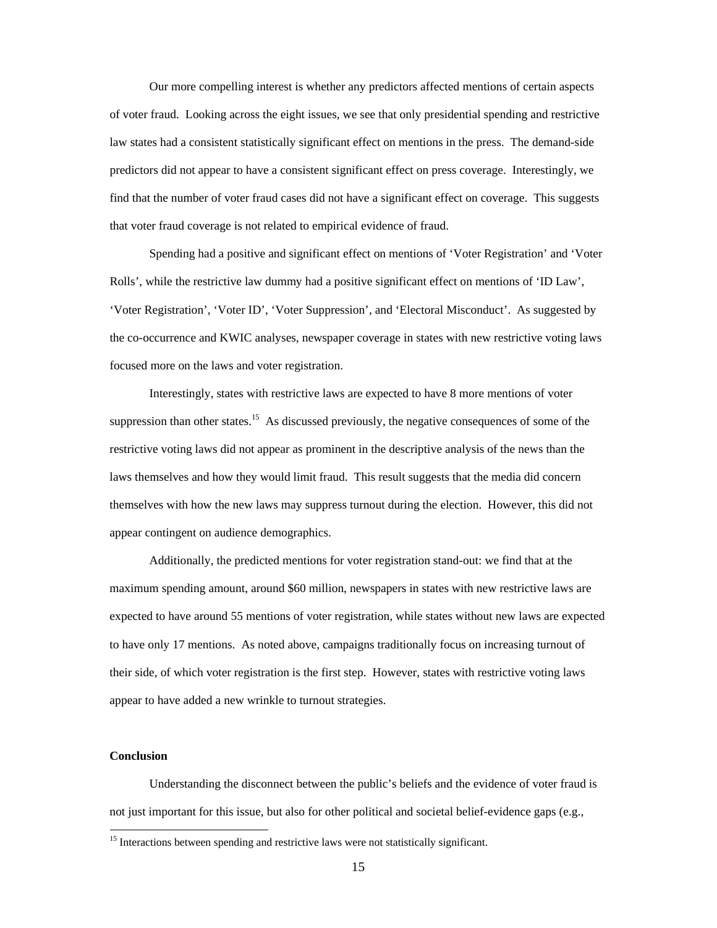Our more compelling interest is whether any predictors affected mentions of certain aspects of voter fraud. Looking across the eight issues, we see that only presidential spending and restrictive law states had a consistent statistically significant effect on mentions in the press. The demand-side predictors did not appear to have a consistent significant effect on press coverage. Interestingly, we find that the number of voter fraud cases did not have a significant effect on coverage. This suggests that voter fraud coverage is not related to empirical evidence of fraud.

Spending had a positive and significant effect on mentions of 'Voter Registration' and 'Voter Rolls', while the restrictive law dummy had a positive significant effect on mentions of 'ID Law', 'Voter Registration', 'Voter ID', 'Voter Suppression', and 'Electoral Misconduct'. As suggested by the co-occurrence and KWIC analyses, newspaper coverage in states with new restrictive voting laws focused more on the laws and voter registration.

Interestingly, states with restrictive laws are expected to have 8 more mentions of voter suppression than other states.<sup>15</sup> As discussed previously, the negative consequences of some of the restrictive voting laws did not appear as prominent in the descriptive analysis of the news than the laws themselves and how they would limit fraud. This result suggests that the media did concern themselves with how the new laws may suppress turnout during the election. However, this did not appear contingent on audience demographics.

 Additionally, the predicted mentions for voter registration stand-out: we find that at the maximum spending amount, around \$60 million, newspapers in states with new restrictive laws are expected to have around 55 mentions of voter registration, while states without new laws are expected to have only 17 mentions. As noted above, campaigns traditionally focus on increasing turnout of their side, of which voter registration is the first step. However, states with restrictive voting laws appear to have added a new wrinkle to turnout strategies.

# **Conclusion**

 Understanding the disconnect between the public's beliefs and the evidence of voter fraud is not just important for this issue, but also for other political and societal belief-evidence gaps (e.g.,

<sup>&</sup>lt;sup>15</sup> Interactions between spending and restrictive laws were not statistically significant.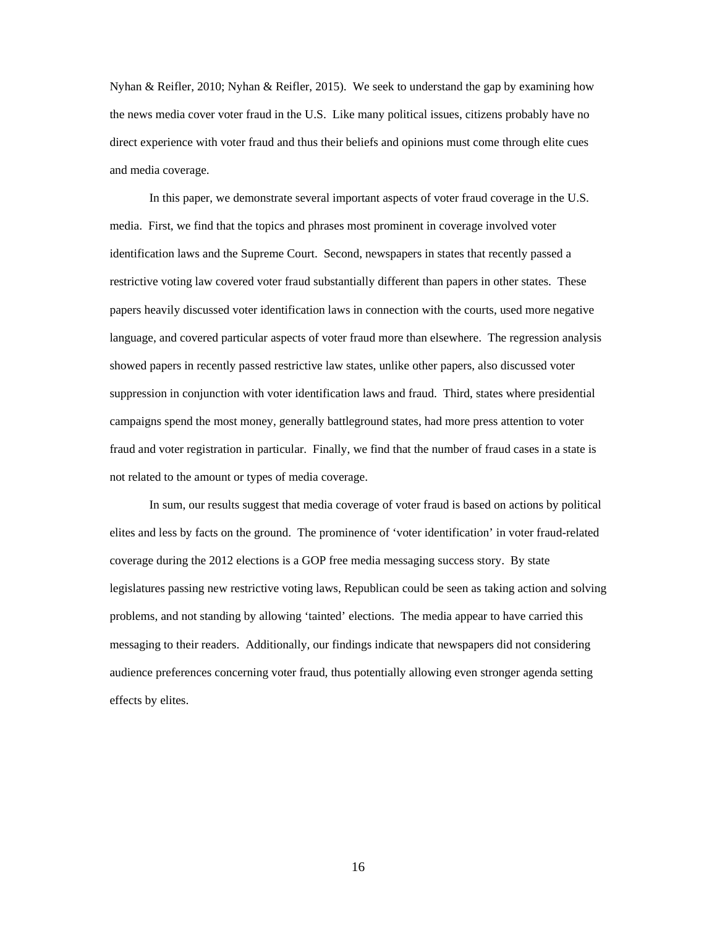Nyhan & Reifler, 2010; Nyhan & Reifler, 2015). We seek to understand the gap by examining how the news media cover voter fraud in the U.S. Like many political issues, citizens probably have no direct experience with voter fraud and thus their beliefs and opinions must come through elite cues and media coverage.

 In this paper, we demonstrate several important aspects of voter fraud coverage in the U.S. media. First, we find that the topics and phrases most prominent in coverage involved voter identification laws and the Supreme Court. Second, newspapers in states that recently passed a restrictive voting law covered voter fraud substantially different than papers in other states. These papers heavily discussed voter identification laws in connection with the courts, used more negative language, and covered particular aspects of voter fraud more than elsewhere. The regression analysis showed papers in recently passed restrictive law states, unlike other papers, also discussed voter suppression in conjunction with voter identification laws and fraud. Third, states where presidential campaigns spend the most money, generally battleground states, had more press attention to voter fraud and voter registration in particular. Finally, we find that the number of fraud cases in a state is not related to the amount or types of media coverage.

 In sum, our results suggest that media coverage of voter fraud is based on actions by political elites and less by facts on the ground. The prominence of 'voter identification' in voter fraud-related coverage during the 2012 elections is a GOP free media messaging success story. By state legislatures passing new restrictive voting laws, Republican could be seen as taking action and solving problems, and not standing by allowing 'tainted' elections. The media appear to have carried this messaging to their readers. Additionally, our findings indicate that newspapers did not considering audience preferences concerning voter fraud, thus potentially allowing even stronger agenda setting effects by elites.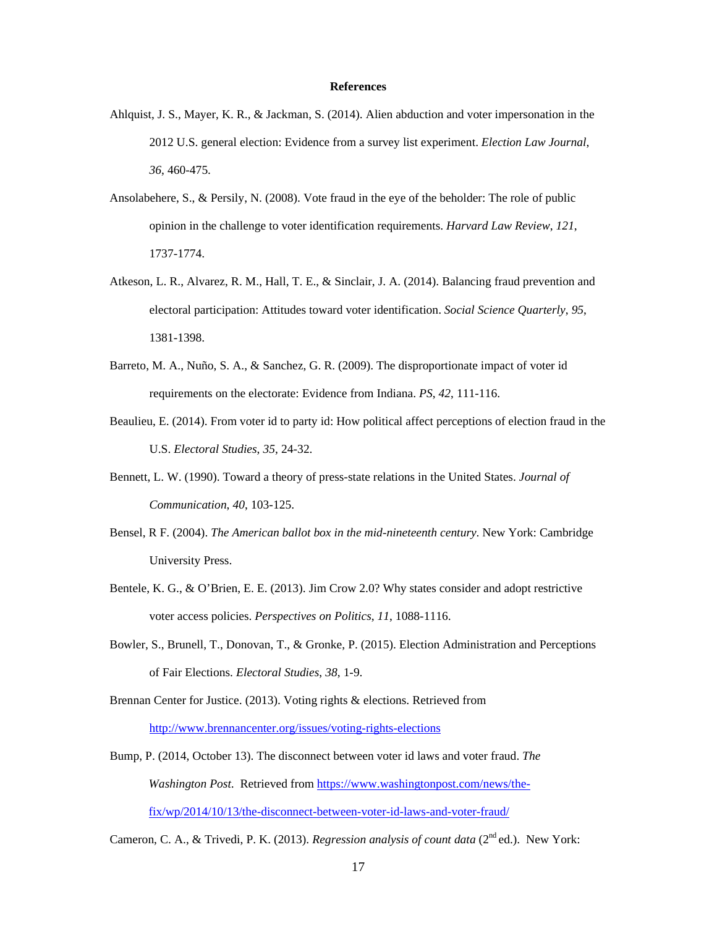#### **References**

- Ahlquist, J. S., Mayer, K. R., & Jackman, S. (2014). Alien abduction and voter impersonation in the 2012 U.S. general election: Evidence from a survey list experiment. *Election Law Journal*, *36*, 460-475.
- Ansolabehere, S., & Persily, N. (2008). Vote fraud in the eye of the beholder: The role of public opinion in the challenge to voter identification requirements. *Harvard Law Review*, *121*, 1737-1774.
- Atkeson, L. R., Alvarez, R. M., Hall, T. E., & Sinclair, J. A. (2014). Balancing fraud prevention and electoral participation: Attitudes toward voter identification. *Social Science Quarterly*, *95*, 1381-1398.
- Barreto, M. A., Nuño, S. A., & Sanchez, G. R. (2009). The disproportionate impact of voter id requirements on the electorate: Evidence from Indiana. *PS*, *42*, 111-116.
- Beaulieu, E. (2014). From voter id to party id: How political affect perceptions of election fraud in the U.S. *Electoral Studies*, *35*, 24-32.
- Bennett, L. W. (1990). Toward a theory of press-state relations in the United States. *Journal of Communication*, *40*, 103-125.
- Bensel, R F. (2004). *The American ballot box in the mid-nineteenth century*. New York: Cambridge University Press.
- Bentele, K. G., & O'Brien, E. E. (2013). Jim Crow 2.0? Why states consider and adopt restrictive voter access policies. *Perspectives on Politics*, *11*, 1088-1116.
- Bowler, S., Brunell, T., Donovan, T., & Gronke, P. (2015). Election Administration and Perceptions of Fair Elections. *Electoral Studies*, *38*, 1-9.
- Brennan Center for Justice. (2013). Voting rights & elections. Retrieved from http://www.brennancenter.org/issues/voting-rights-elections
- Bump, P. (2014, October 13). The disconnect between voter id laws and voter fraud. *The Washington Post*. Retrieved from https://www.washingtonpost.com/news/thefix/wp/2014/10/13/the-disconnect-between-voter-id-laws-and-voter-fraud/

Cameron, C. A., & Trivedi, P. K. (2013). *Regression analysis of count data* (2<sup>nd</sup> ed.). New York: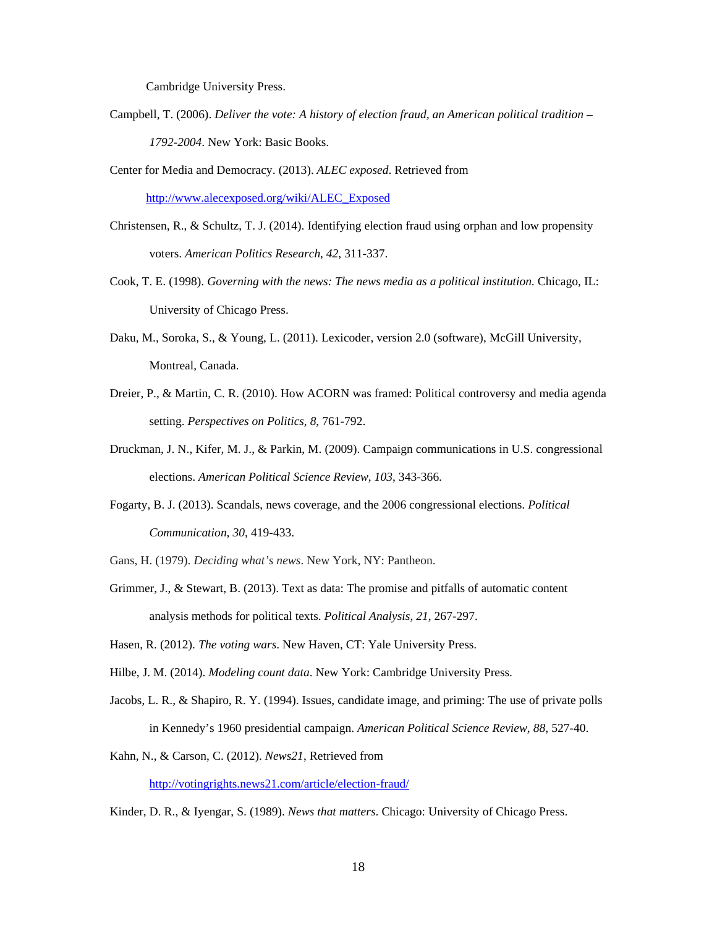Cambridge University Press.

- Campbell, T. (2006). *Deliver the vote: A history of election fraud, an American political tradition 1792-2004*. New York: Basic Books.
- Center for Media and Democracy. (2013). *ALEC exposed*. Retrieved from http://www.alecexposed.org/wiki/ALEC\_Exposed
- Christensen, R., & Schultz, T. J. (2014). Identifying election fraud using orphan and low propensity voters. *American Politics Research*, *42*, 311-337.
- Cook, T. E. (1998). *Governing with the news: The news media as a political institution*. Chicago, IL: University of Chicago Press.
- Daku, M., Soroka, S., & Young, L. (2011). Lexicoder, version 2.0 (software), McGill University, Montreal, Canada.
- Dreier, P., & Martin, C. R. (2010). How ACORN was framed: Political controversy and media agenda setting. *Perspectives on Politics*, *8*, 761-792.
- Druckman, J. N., Kifer, M. J., & Parkin, M. (2009). Campaign communications in U.S. congressional elections. *American Political Science Review*, *103*, 343-366.
- Fogarty, B. J. (2013). Scandals, news coverage, and the 2006 congressional elections. *Political Communication*, *30*, 419-433.
- Gans, H. (1979). *Deciding what's news*. New York, NY: Pantheon.
- Grimmer, J., & Stewart, B. (2013). Text as data: The promise and pitfalls of automatic content analysis methods for political texts. *Political Analysis*, *21*, 267-297.
- Hasen, R. (2012). *The voting wars*. New Haven, CT: Yale University Press.
- Hilbe, J. M. (2014). *Modeling count data*. New York: Cambridge University Press.
- Jacobs, L. R., & Shapiro, R. Y. (1994). Issues, candidate image, and priming: The use of private polls in Kennedy's 1960 presidential campaign. *American Political Science Review*, *88*, 527-40.
- Kahn, N., & Carson, C. (2012). *News21*, Retrieved from http://votingrights.news21.com/article/election-fraud/
- Kinder, D. R., & Iyengar, S. (1989). *News that matters*. Chicago: University of Chicago Press.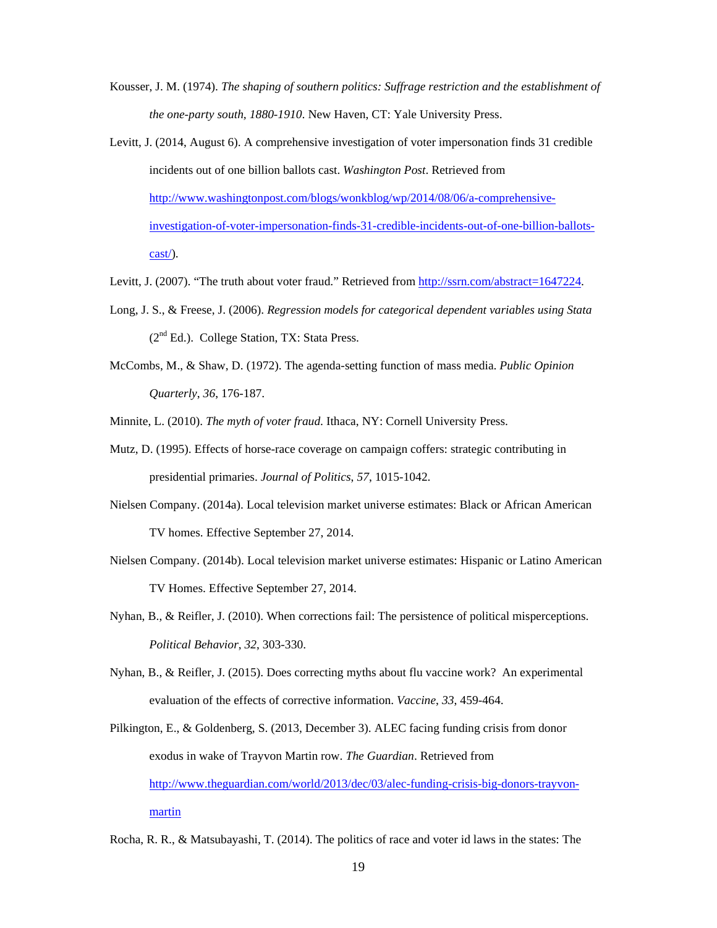- Kousser, J. M. (1974). *The shaping of southern politics: Suffrage restriction and the establishment of the one-party south, 1880-1910*. New Haven, CT: Yale University Press.
- Levitt, J. (2014, August 6). A comprehensive investigation of voter impersonation finds 31 credible incidents out of one billion ballots cast. *Washington Post*. Retrieved from http://www.washingtonpost.com/blogs/wonkblog/wp/2014/08/06/a-comprehensiveinvestigation-of-voter-impersonation-finds-31-credible-incidents-out-of-one-billion-ballotscast/).
- Levitt, J. (2007). "The truth about voter fraud." Retrieved from http://ssrn.com/abstract=1647224.
- Long, J. S., & Freese, J. (2006). *Regression models for categorical dependent variables using Stata*  $(2<sup>nd</sup> Ed.)$ . College Station, TX: Stata Press.
- McCombs, M., & Shaw, D. (1972). The agenda-setting function of mass media. *Public Opinion Quarterly*, *36*, 176-187.

Minnite, L. (2010). *The myth of voter fraud*. Ithaca, NY: Cornell University Press.

- Mutz, D. (1995). Effects of horse-race coverage on campaign coffers: strategic contributing in presidential primaries. *Journal of Politics*, *57*, 1015-1042.
- Nielsen Company. (2014a). Local television market universe estimates: Black or African American TV homes. Effective September 27, 2014.
- Nielsen Company. (2014b). Local television market universe estimates: Hispanic or Latino American TV Homes. Effective September 27, 2014.
- Nyhan, B., & Reifler, J. (2010). When corrections fail: The persistence of political misperceptions. *Political Behavior*, *32*, 303-330.
- Nyhan, B., & Reifler, J. (2015). Does correcting myths about flu vaccine work? An experimental evaluation of the effects of corrective information. *Vaccine*, *33*, 459-464.
- Pilkington, E., & Goldenberg, S. (2013, December 3). ALEC facing funding crisis from donor exodus in wake of Trayvon Martin row. *The Guardian*. Retrieved from http://www.theguardian.com/world/2013/dec/03/alec-funding-crisis-big-donors-trayvonmartin
- Rocha, R. R., & Matsubayashi, T. (2014). The politics of race and voter id laws in the states: The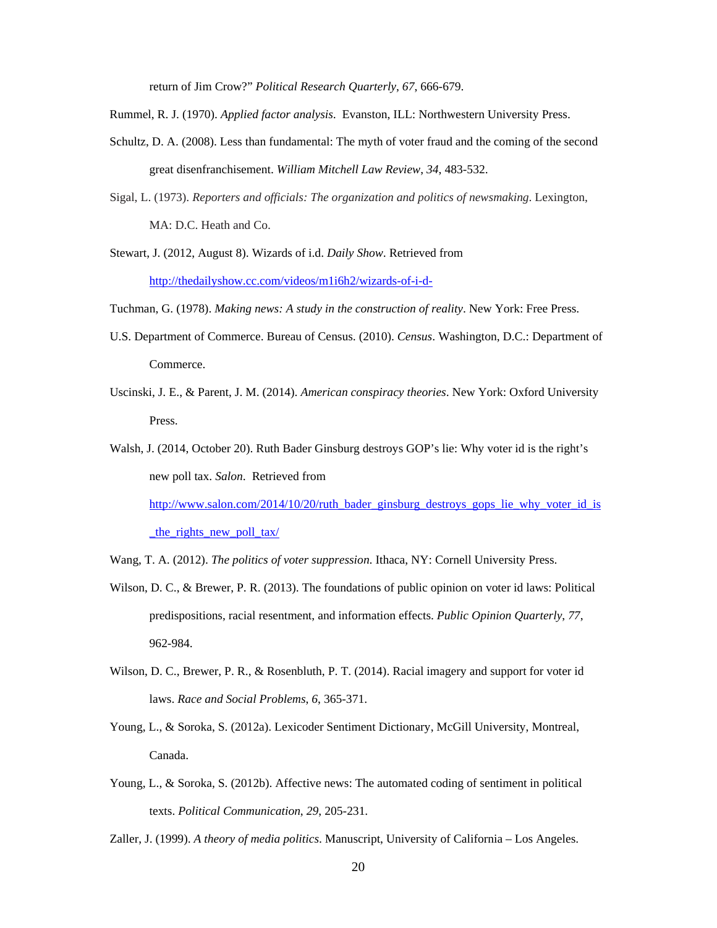return of Jim Crow?" *Political Research Quarterly*, *67*, 666-679.

Rummel, R. J. (1970). *Applied factor analysis*. Evanston, ILL: Northwestern University Press.

- Schultz, D. A. (2008). Less than fundamental: The myth of voter fraud and the coming of the second great disenfranchisement. *William Mitchell Law Review*, *34*, 483-532.
- Sigal, L. (1973). *Reporters and officials: The organization and politics of newsmaking*. Lexington, MA: D.C. Heath and Co.
- Stewart, J. (2012, August 8). Wizards of i.d. *Daily Show*. Retrieved from http://thedailyshow.cc.com/videos/m1i6h2/wizards-of-i-d-

Tuchman, G. (1978). *Making news: A study in the construction of reality*. New York: Free Press.

- U.S. Department of Commerce. Bureau of Census. (2010). *Census*. Washington, D.C.: Department of Commerce.
- Uscinski, J. E., & Parent, J. M. (2014). *American conspiracy theories*. New York: Oxford University Press.

Walsh, J. (2014, October 20). Ruth Bader Ginsburg destroys GOP's lie: Why voter id is the right's new poll tax. *Salon*. Retrieved from http://www.salon.com/2014/10/20/ruth\_bader\_ginsburg\_destroys\_gops\_lie\_why\_voter\_id\_is the rights new poll tax/

- Wang, T. A. (2012). *The politics of voter suppression*. Ithaca, NY: Cornell University Press.
- Wilson, D. C., & Brewer, P. R. (2013). The foundations of public opinion on voter id laws: Political predispositions, racial resentment, and information effects. *Public Opinion Quarterly*, *77*, 962-984.
- Wilson, D. C., Brewer, P. R., & Rosenbluth, P. T. (2014). Racial imagery and support for voter id laws. *Race and Social Problems*, *6*, 365-371.
- Young, L., & Soroka, S. (2012a). Lexicoder Sentiment Dictionary, McGill University, Montreal, Canada.
- Young, L., & Soroka, S. (2012b). Affective news: The automated coding of sentiment in political texts. *Political Communication*, *29*, 205-231.

Zaller, J. (1999). *A theory of media politics*. Manuscript, University of California – Los Angeles.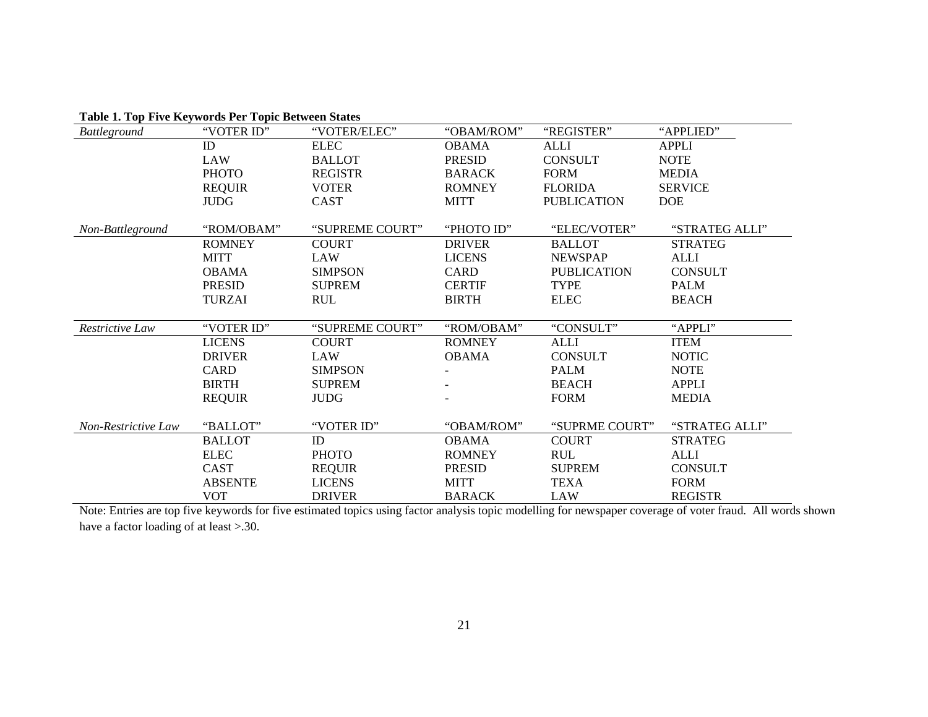| Battleground        | "VOTER ID"     | "VOTER/ELEC"    | "OBAM/ROM"    | "REGISTER"         | "APPLIED"      |
|---------------------|----------------|-----------------|---------------|--------------------|----------------|
|                     | ID             | <b>ELEC</b>     | <b>OBAMA</b>  | <b>ALLI</b>        | <b>APPLI</b>   |
|                     | <b>LAW</b>     | <b>BALLOT</b>   | <b>PRESID</b> | <b>CONSULT</b>     | <b>NOTE</b>    |
|                     | <b>PHOTO</b>   | <b>REGISTR</b>  | <b>BARACK</b> | <b>FORM</b>        | <b>MEDIA</b>   |
|                     | <b>REQUIR</b>  | <b>VOTER</b>    | <b>ROMNEY</b> | <b>FLORIDA</b>     | <b>SERVICE</b> |
|                     | <b>JUDG</b>    | CAST            | <b>MITT</b>   | <b>PUBLICATION</b> | <b>DOE</b>     |
|                     |                |                 |               |                    |                |
| Non-Battleground    | "ROM/OBAM"     | "SUPREME COURT" | "PHOTO ID"    | "ELEC/VOTER"       | "STRATEG ALLI" |
|                     | <b>ROMNEY</b>  | <b>COURT</b>    | <b>DRIVER</b> | <b>BALLOT</b>      | <b>STRATEG</b> |
|                     | <b>MITT</b>    | <b>LAW</b>      | <b>LICENS</b> | <b>NEWSPAP</b>     | <b>ALLI</b>    |
|                     | <b>OBAMA</b>   | <b>SIMPSON</b>  | <b>CARD</b>   | <b>PUBLICATION</b> | <b>CONSULT</b> |
|                     | <b>PRESID</b>  | <b>SUPREM</b>   | <b>CERTIF</b> | <b>TYPE</b>        | <b>PALM</b>    |
|                     | <b>TURZAI</b>  | <b>RUL</b>      | <b>BIRTH</b>  | <b>ELEC</b>        | <b>BEACH</b>   |
|                     |                |                 |               |                    |                |
| Restrictive Law     | "VOTER ID"     | "SUPREME COURT" | "ROM/OBAM"    | "CONSULT"          | "APPLI"        |
|                     | <b>LICENS</b>  | <b>COURT</b>    | <b>ROMNEY</b> | <b>ALLI</b>        | <b>ITEM</b>    |
|                     | <b>DRIVER</b>  | <b>LAW</b>      | <b>OBAMA</b>  | <b>CONSULT</b>     | <b>NOTIC</b>   |
|                     | <b>CARD</b>    | <b>SIMPSON</b>  |               | <b>PALM</b>        | <b>NOTE</b>    |
|                     | <b>BIRTH</b>   | <b>SUPREM</b>   |               | <b>BEACH</b>       | <b>APPLI</b>   |
|                     | <b>REQUIR</b>  | <b>JUDG</b>     |               | <b>FORM</b>        | <b>MEDIA</b>   |
|                     |                |                 |               |                    |                |
| Non-Restrictive Law | "BALLOT"       | "VOTER ID"      | "OBAM/ROM"    | "SUPRME COURT"     | "STRATEG ALLI" |
|                     | <b>BALLOT</b>  | ID              | <b>OBAMA</b>  | <b>COURT</b>       | <b>STRATEG</b> |
|                     | <b>ELEC</b>    | <b>PHOTO</b>    | <b>ROMNEY</b> | <b>RUL</b>         | ALLI           |
|                     | CAST           | <b>REQUIR</b>   | <b>PRESID</b> | <b>SUPREM</b>      | <b>CONSULT</b> |
|                     | <b>ABSENTE</b> | <b>LICENS</b>   | <b>MITT</b>   | <b>TEXA</b>        | <b>FORM</b>    |
|                     | <b>VOT</b>     | <b>DRIVER</b>   | <b>BARACK</b> | <b>LAW</b>         | <b>REGISTR</b> |

**Table 1. Top Five Keywords Per Topic Between States** 

 Note: Entries are top five keywords for five estimated topics using factor analysis topic modelling for newspaper coverage of voter fraud. All words shown have a factor loading of at least > .30.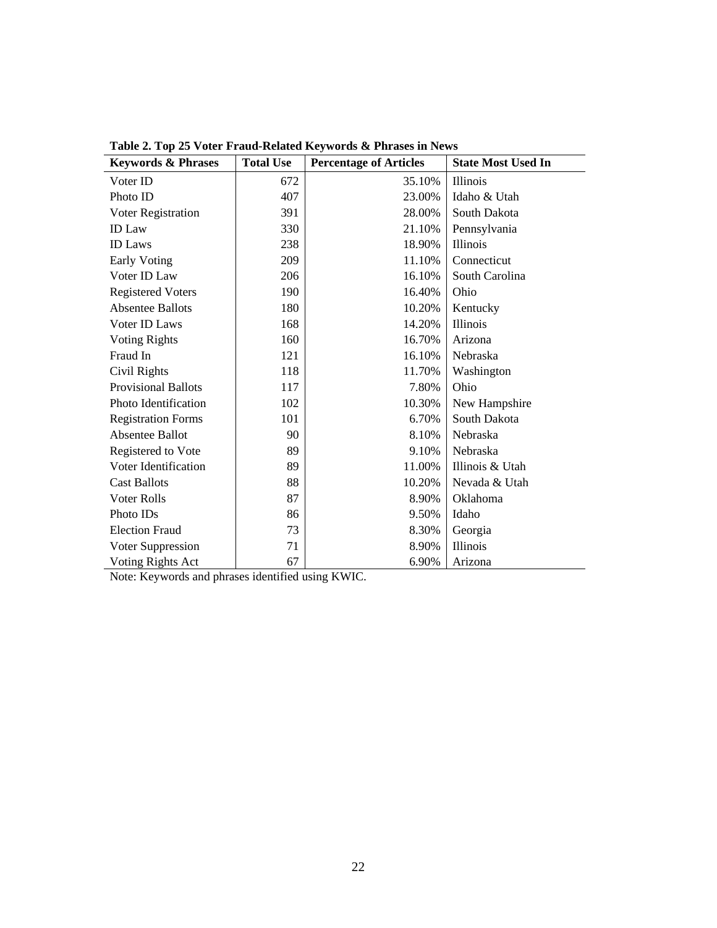| <b>Keywords &amp; Phrases</b> | <b>Total Use</b> | <b>Percentage of Articles</b> | <b>State Most Used In</b> |
|-------------------------------|------------------|-------------------------------|---------------------------|
| Voter ID                      | 672              | 35.10%                        | Illinois                  |
| Photo ID                      | 407              | 23.00%                        | Idaho & Utah              |
| Voter Registration            | 391              | 28.00%                        | South Dakota              |
| <b>ID</b> Law                 | 330              | 21.10%                        | Pennsylvania              |
| <b>ID</b> Laws                | 238              | 18.90%                        | Illinois                  |
| Early Voting                  | 209              | 11.10%                        | Connecticut               |
| Voter ID Law                  | 206              | 16.10%                        | South Carolina            |
| <b>Registered Voters</b>      | 190              | 16.40%                        | Ohio                      |
| <b>Absentee Ballots</b>       | 180              | 10.20%                        | Kentucky                  |
| Voter ID Laws                 | 168              | 14.20%                        | Illinois                  |
| <b>Voting Rights</b>          | 160              | 16.70%                        | Arizona                   |
| Fraud In                      | 121              | 16.10%                        | Nebraska                  |
| Civil Rights                  | 118              | 11.70%                        | Washington                |
| <b>Provisional Ballots</b>    | 117              | 7.80%                         | Ohio                      |
| Photo Identification          | 102              | 10.30%                        | New Hampshire             |
| <b>Registration Forms</b>     | 101              | 6.70%                         | South Dakota              |
| Absentee Ballot               | 90               | 8.10%                         | Nebraska                  |
| Registered to Vote            | 89               | 9.10%                         | Nebraska                  |
| Voter Identification          | 89               | 11.00%                        | Illinois & Utah           |
| <b>Cast Ballots</b>           | 88               | 10.20%                        | Nevada & Utah             |
| Voter Rolls                   | 87               | 8.90%                         | Oklahoma                  |
| Photo ID <sub>s</sub>         | 86               | 9.50%                         | Idaho                     |
| <b>Election Fraud</b>         | 73               | 8.30%                         | Georgia                   |
| Voter Suppression             | 71               | 8.90%                         | Illinois                  |
| Voting Rights Act             | 67               | 6.90%                         | Arizona                   |

**Table 2. Top 25 Voter Fraud-Related Keywords & Phrases in News** 

Note: Keywords and phrases identified using KWIC.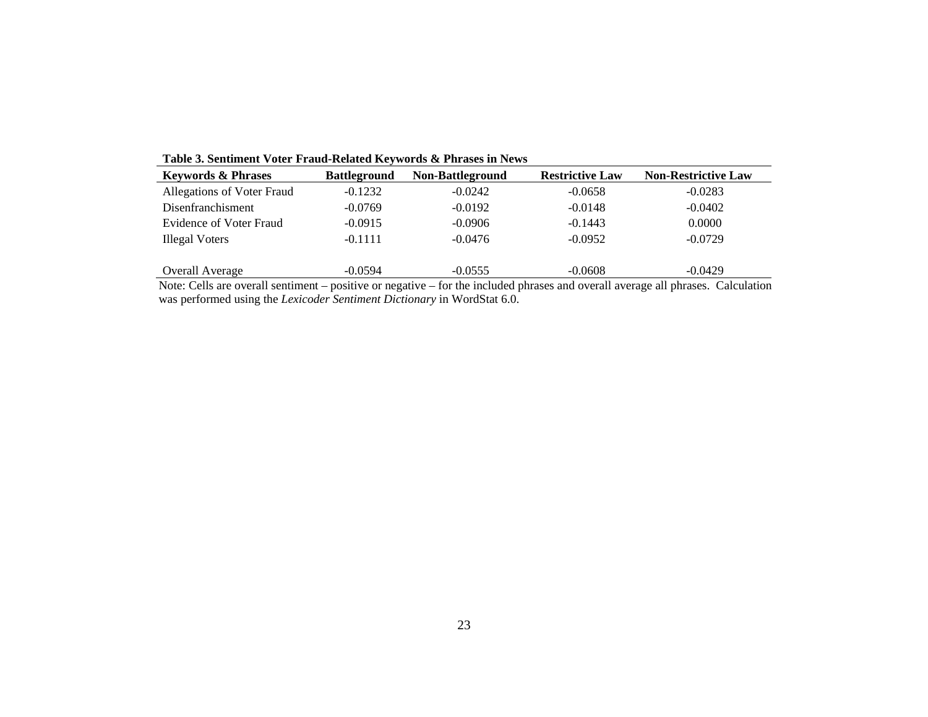| <b>Keywords &amp; Phrases</b> | <b>Battleground</b> | Non-Battleground | <b>Restrictive Law</b> | <b>Non-Restrictive Law</b> |
|-------------------------------|---------------------|------------------|------------------------|----------------------------|
| Allegations of Voter Fraud    | $-0.1232$           | $-0.0242$        | $-0.0658$              | $-0.0283$                  |
| Disenfranchisment             | $-0.0769$           | $-0.0192$        | $-0.0148$              | $-0.0402$                  |
| Evidence of Voter Fraud       | $-0.0915$           | $-0.0906$        | $-0.1443$              | 0.0000                     |
| <b>Illegal Voters</b>         | $-0.1111$           | $-0.0476$        | $-0.0952$              | $-0.0729$                  |
|                               |                     |                  |                        |                            |
| <b>Overall Average</b>        | $-0.0594$           | $-0.0555$        | $-0.0608$              | $-0.0429$                  |

**Table 3. Sentiment Voter Fraud-Related Keywords & Phrases in News** 

Note: Cells are overall sentiment – positive or negative – for the included phrases and overall average all phrases. Calculation was performed using the *Lexicoder Sentiment Dictionary* in WordStat 6.0.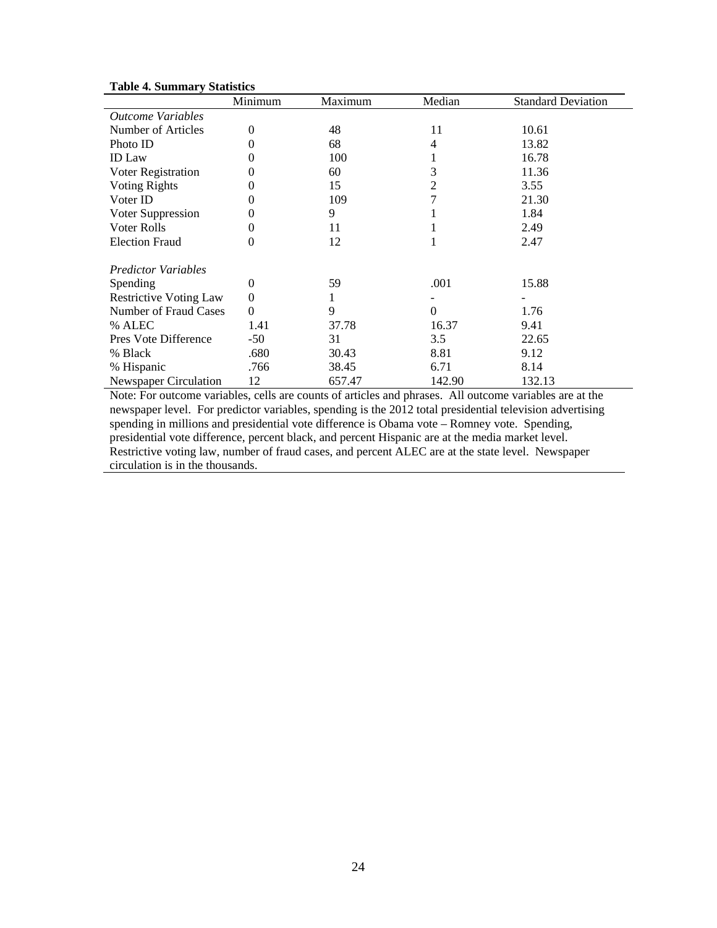|                                 | Minimum          | Maximum | Median   | <b>Standard Deviation</b> |
|---------------------------------|------------------|---------|----------|---------------------------|
| <i><b>Outcome Variables</b></i> |                  |         |          |                           |
| Number of Articles              | $\overline{0}$   | 48      | 11       | 10.61                     |
| Photo ID                        | 0                | 68      | 4        | 13.82                     |
| <b>ID</b> Law                   | 0                | 100     |          | 16.78                     |
| Voter Registration              | 0                | 60      | 3        | 11.36                     |
| <b>Voting Rights</b>            | 0                | 15      | 2        | 3.55                      |
| Voter ID                        | 0                | 109     | 7        | 21.30                     |
| Voter Suppression               | 0                | 9       |          | 1.84                      |
| Voter Rolls                     | 0                | 11      |          | 2.49                      |
| <b>Election Fraud</b>           | 0                | 12      |          | 2.47                      |
| <b>Predictor Variables</b>      |                  |         |          |                           |
| Spending                        | $\boldsymbol{0}$ | 59      | .001     | 15.88                     |
| <b>Restrictive Voting Law</b>   | $\boldsymbol{0}$ |         |          |                           |
| <b>Number of Fraud Cases</b>    | $\theta$         | 9       | $\Omega$ | 1.76                      |
| % ALEC                          | 1.41             | 37.78   | 16.37    | 9.41                      |
| Pres Vote Difference            | $-50$            | 31      | 3.5      | 22.65                     |
| % Black                         | .680             | 30.43   | 8.81     | 9.12                      |
| % Hispanic                      | .766             | 38.45   | 6.71     | 8.14                      |
| Newspaper Circulation           | 12               | 657.47  | 142.90   | 132.13                    |

# **Table 4. Summary Statistics**

Note: For outcome variables, cells are counts of articles and phrases. All outcome variables are at the newspaper level. For predictor variables, spending is the 2012 total presidential television advertising spending in millions and presidential vote difference is Obama vote – Romney vote. Spending, presidential vote difference, percent black, and percent Hispanic are at the media market level. Restrictive voting law, number of fraud cases, and percent ALEC are at the state level. Newspaper circulation is in the thousands.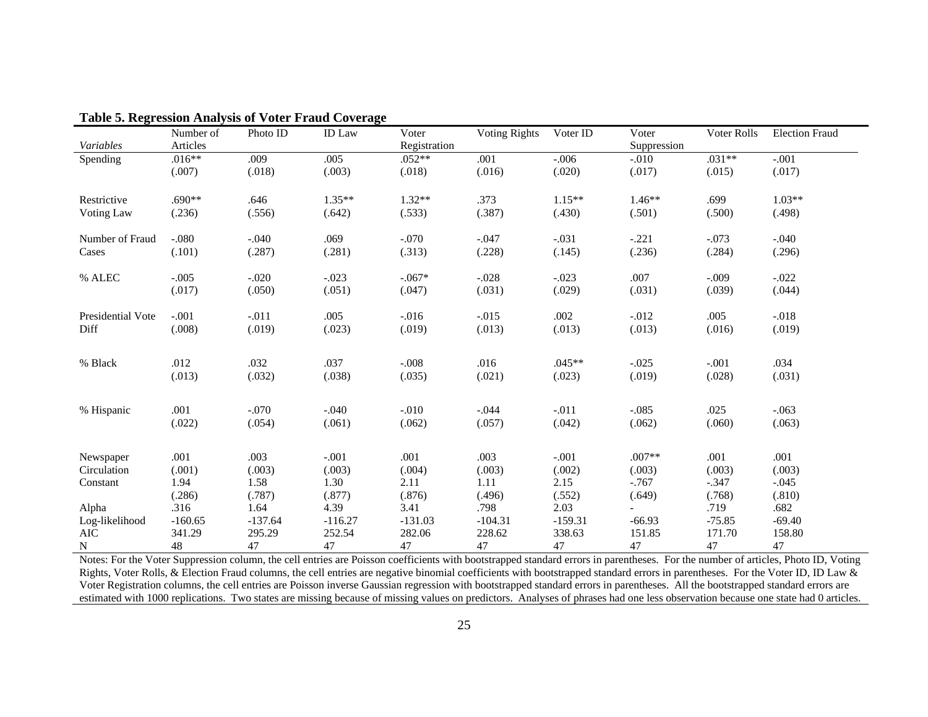|                             | Number of | Photo ID  | ID Law              | Voter          | <b>Voting Rights</b> | Voter ID  | Voter              | Voter Rolls       | <b>Election Fraud</b> |
|-----------------------------|-----------|-----------|---------------------|----------------|----------------------|-----------|--------------------|-------------------|-----------------------|
| Variables                   | Articles  |           |                     | Registration   |                      |           | Suppression        |                   |                       |
| Spending                    | $.016**$  | .009      | .005                | $.052**$       | .001                 | $-.006$   | $-.010$            | $.031**$          | $-.001$               |
|                             | (.007)    | (.018)    | (.003)              | (.018)         | (.016)               | (.020)    | (.017)             | (.015)            | (.017)                |
| Restrictive                 | $.690**$  | .646      | $1.35**$            | $1.32**$       | .373                 | $1.15**$  | $1.46**$           | .699              | $1.03**$              |
| Voting Law                  | (.236)    | (.556)    | (.642)              | (.533)         | (.387)               | (.430)    | (.501)             | (.500)            | (.498)                |
| Number of Fraud             | $-.080$   | $-.040$   | .069                | $-.070$        | $-.047$              | $-.031$   | $-.221$            | $-.073$           | $-.040$               |
| Cases                       | (.101)    | (.287)    | (.281)              | (.313)         | (.228)               | (.145)    | (.236)             | (.284)            | (.296)                |
| % ALEC                      | $-.005$   | $-.020$   | $-.023$             | $-.067*$       | $-.028$              | $-.023$   | .007               | $-.009$           | $-.022$               |
|                             | (.017)    | (.050)    | (.051)              | (.047)         | (.031)               | (.029)    | (.031)             | (.039)            | (.044)                |
| Presidential Vote           | $-.001$   | $-.011$   | .005                | $-0.016$       | $-.015$              | .002      | $-0.012$           | .005              | $-.018$               |
| Diff                        | (.008)    | (.019)    | (.023)              | (.019)         | (.013)               | (.013)    | (.013)             | (.016)            | (.019)                |
| % Black                     | .012      | .032      | .037                | $-.008$        | .016                 | $.045**$  | $-.025$            | $-.001$           | .034                  |
|                             | (.013)    | (.032)    | (.038)              | (.035)         | (.021)               | (.023)    | (.019)             | (.028)            | (.031)                |
| % Hispanic                  | .001      | $-.070$   | $-.040$             | $-.010$        | $-.044$              | $-.011$   | $-.085$            | .025              | $-.063$               |
|                             | (.022)    | (.054)    | (.061)              | (.062)         | (.057)               | (.042)    | (.062)             | (.060)            | (.063)                |
| Newspaper                   | .001      | .003      | $-.001$             | .001           | .003                 | $-.001$   | $.007**$           | .001              | .001                  |
| Circulation                 | (.001)    | (.003)    | (.003)              | (.004)         | (.003)               | (.002)    | (.003)             | (.003)            | (.003)                |
|                             | 1.94      | 1.58      | 1.30                |                | 1.11                 | 2.15      |                    |                   |                       |
| Constant                    | (.286)    | (.787)    | (.877)              | 2.11<br>(.876) | (.496)               | (.552)    | $-0.767$<br>(.649) | $-.347$<br>(.768) | $-.045$<br>(.810)     |
| Alpha                       | .316      | 1.64      | 4.39                | 3.41           | .798                 | 2.03      |                    | .719              | .682                  |
|                             | $-160.65$ | $-137.64$ |                     | $-131.03$      | $-104.31$            | $-159.31$ | $-66.93$           | $-75.85$          |                       |
| Log-likelihood<br>$\rm AIC$ | 341.29    | 295.29    | $-116.27$<br>252.54 | 282.06         | 228.62               | 338.63    | 151.85             | 171.70            | $-69.40$<br>158.80    |
| N                           | 48        | 47        | 47                  | 47             | 47                   | 47        | 47                 | 47                | 47                    |

**Table 5. Regression Analysis of Voter Fraud Coverage** 

Notes: For the Voter Suppression column, the cell entries are Poisson coefficients with bootstrapped standard errors in parentheses. For the number of articles, Photo ID, Voting Rights, Voter Rolls, & Election Fraud columns, the cell entries are negative binomial coefficients with bootstrapped standard errors in parentheses. For the Voter ID, ID Law & Voter Registration columns, the cell entries are Poisson inverse Gaussian regression with bootstrapped standard errors in parentheses. All the bootstrapped standard errors are estimated with 1000 replications. Two states are missing because of missing values on predictors. Analyses of phrases had one less observation because one state had 0 articles.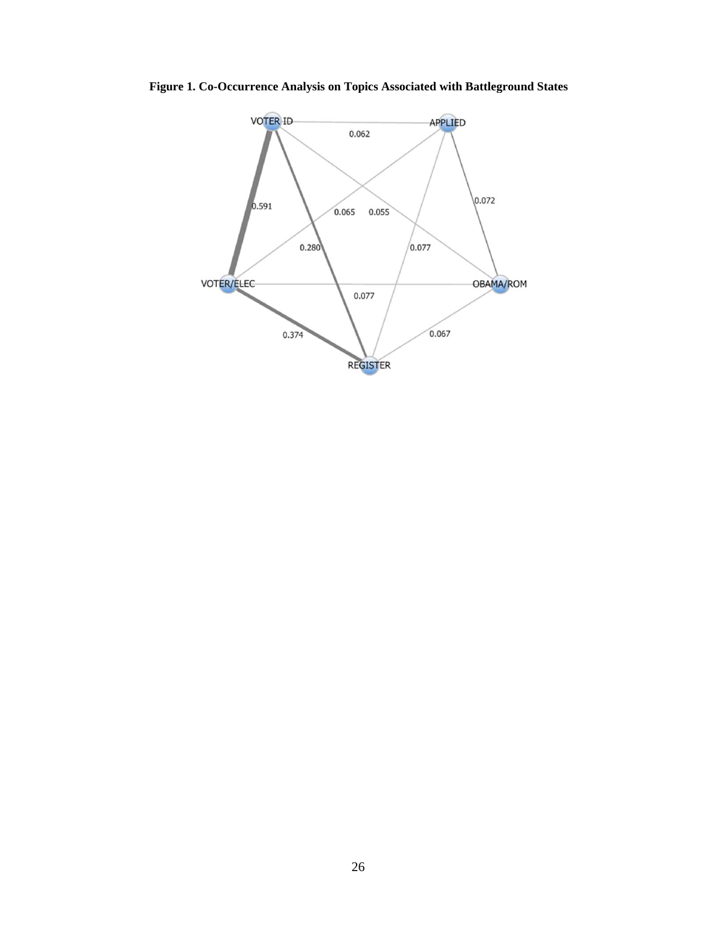**Figure 1. Co-Occurrence Analysis on Topics Associated with Battleground States** 

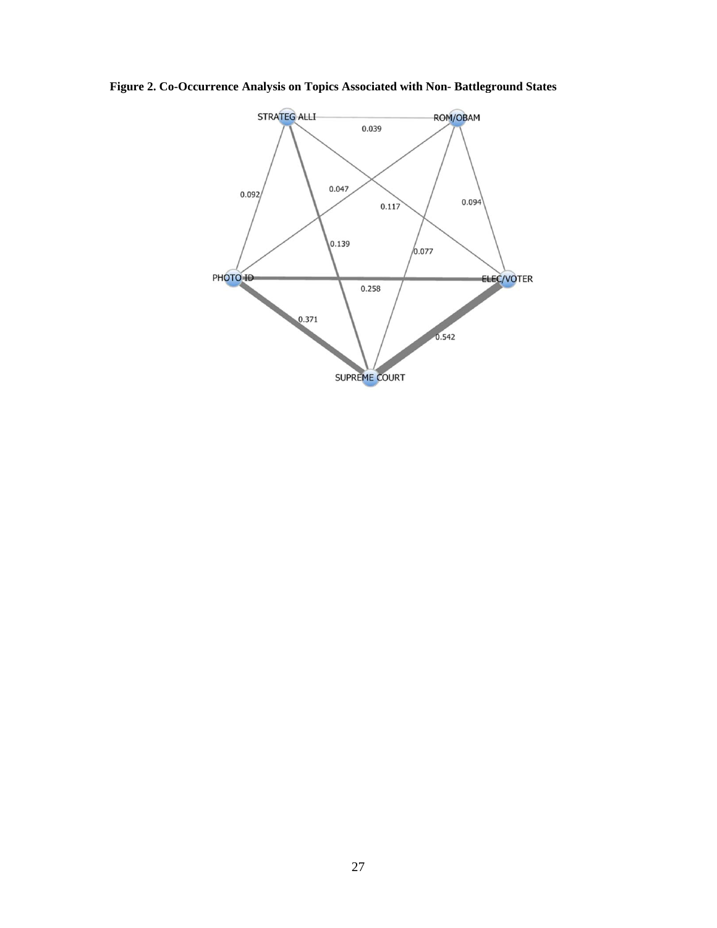**Figure 2. Co-Occurrence Analysis on Topics Associated with Non- Battleground States** 

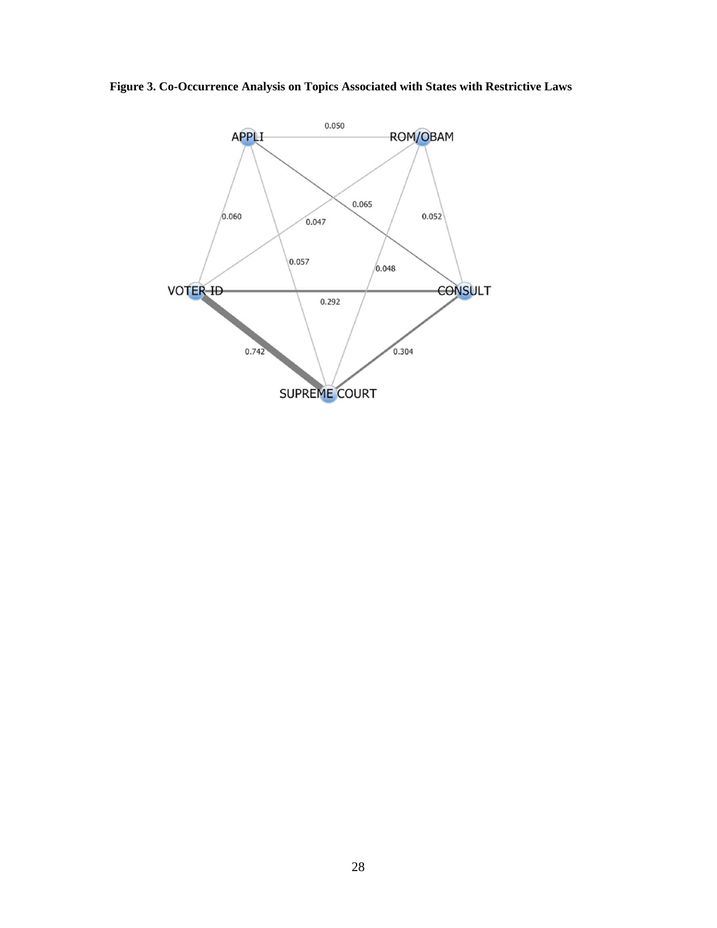**Figure 3. Co-Occurrence Analysis on Topics Associated with States with Restrictive Laws** 

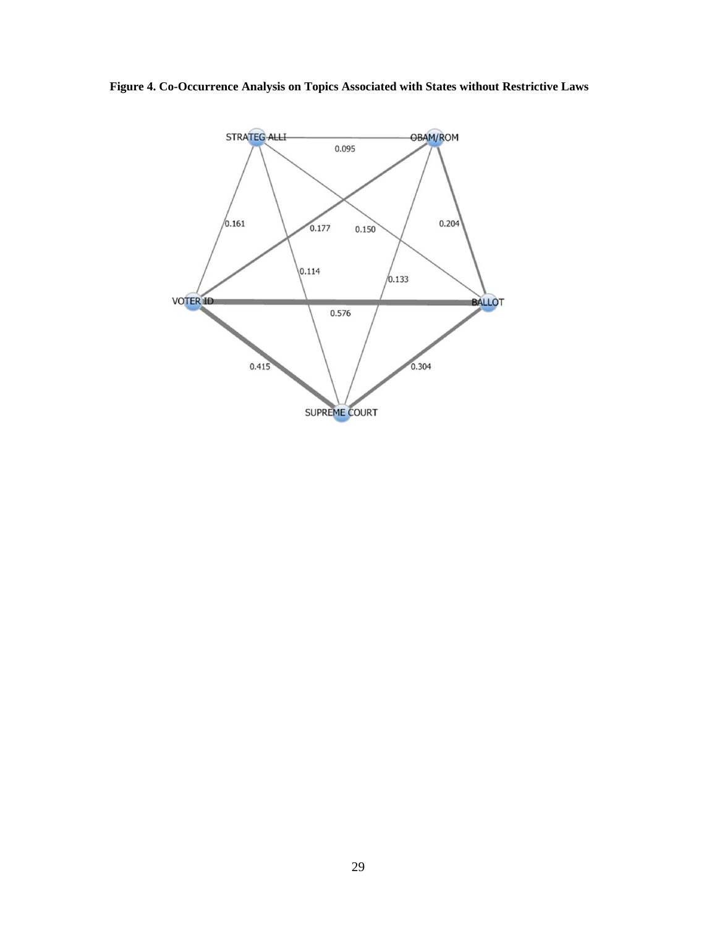**Figure 4. Co-Occurrence Analysis on Topics Associated with States without Restrictive Laws**